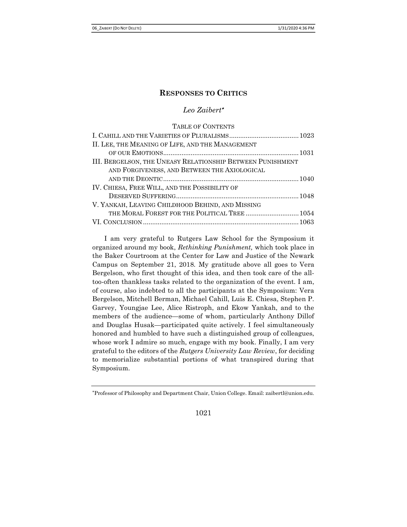# Leo Zaibert

## TABLE OF CONTENTS

| II. LEE, THE MEANING OF LIFE, AND THE MANAGEMENT           |
|------------------------------------------------------------|
|                                                            |
| III. BERGELSON, THE UNEASY RELATIONSHIP BETWEEN PUNISHMENT |
| AND FORGIVENESS, AND BETWEEN THE AXIOLOGICAL               |
|                                                            |
| IV. CHIESA, FREE WILL, AND THE POSSIBILITY OF              |
|                                                            |
| V. YANKAH, LEAVING CHILDHOOD BEHIND, AND MISSING           |
| THE MORAL FOREST FOR THE POLITICAL TREE  1054              |
|                                                            |

I am very grateful to Rutgers Law School for the Symposium it organized around my book, Rethinking Punishment, which took place in the Baker Courtroom at the Center for Law and Justice of the Newark Campus on September 21, 2018. My gratitude above all goes to Vera Bergelson, who first thought of this idea, and then took care of the alltoo-often thankless tasks related to the organization of the event. I am, of course, also indebted to all the participants at the Symposium: Vera Bergelson, Mitchell Berman, Michael Cahill, Luis E. Chiesa, Stephen P. Garvey, Youngjae Lee, Alice Ristroph, and Ekow Yankah, and to the members of the audience—some of whom, particularly Anthony Dillof and Douglas Husak—participated quite actively. I feel simultaneously honored and humbled to have such a distinguished group of colleagues, whose work I admire so much, engage with my book. Finally, I am very grateful to the editors of the Rutgers University Law Review, for deciding to memorialize substantial portions of what transpired during that Symposium.

### 1021

Professor of Philosophy and Department Chair, Union College. Email: zaibertl@union.edu.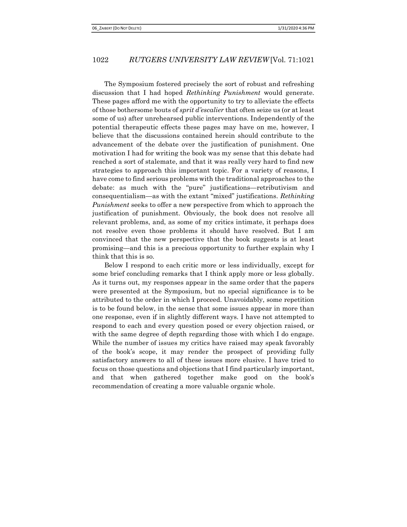The Symposium fostered precisely the sort of robust and refreshing discussion that I had hoped Rethinking Punishment would generate. These pages afford me with the opportunity to try to alleviate the effects of those bothersome bouts of sprit d'escalier that often seize us (or at least some of us) after unrehearsed public interventions. Independently of the potential therapeutic effects these pages may have on me, however, I believe that the discussions contained herein should contribute to the advancement of the debate over the justification of punishment. One motivation I had for writing the book was my sense that this debate had reached a sort of stalemate, and that it was really very hard to find new strategies to approach this important topic. For a variety of reasons, I have come to find serious problems with the traditional approaches to the debate: as much with the "pure" justifications—retributivism and consequentialism—as with the extant "mixed" justifications. Rethinking Punishment seeks to offer a new perspective from which to approach the justification of punishment. Obviously, the book does not resolve all relevant problems, and, as some of my critics intimate, it perhaps does not resolve even those problems it should have resolved. But I am convinced that the new perspective that the book suggests is at least promising—and this is a precious opportunity to further explain why I think that this is so.

Below I respond to each critic more or less individually, except for some brief concluding remarks that I think apply more or less globally. As it turns out, my responses appear in the same order that the papers were presented at the Symposium, but no special significance is to be attributed to the order in which I proceed. Unavoidably, some repetition is to be found below, in the sense that some issues appear in more than one response, even if in slightly different ways. I have not attempted to respond to each and every question posed or every objection raised, or with the same degree of depth regarding those with which I do engage. While the number of issues my critics have raised may speak favorably of the book's scope, it may render the prospect of providing fully satisfactory answers to all of these issues more elusive. I have tried to focus on those questions and objections that I find particularly important, and that when gathered together make good on the book's recommendation of creating a more valuable organic whole.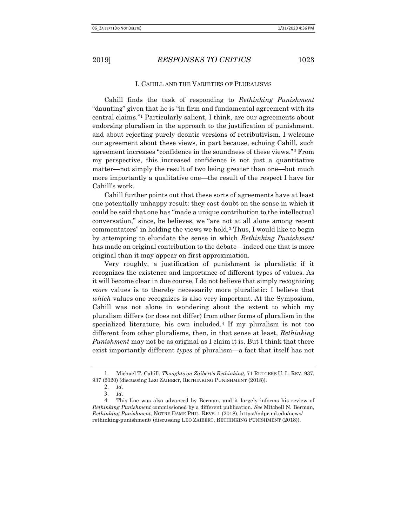### I. CAHILL AND THE VARIETIES OF PLURALISMS

Cahill finds the task of responding to Rethinking Punishment "daunting" given that he is "in firm and fundamental agreement with its central claims."1 Particularly salient, I think, are our agreements about endorsing pluralism in the approach to the justification of punishment, and about rejecting purely deontic versions of retributivism. I welcome our agreement about these views, in part because, echoing Cahill, such agreement increases "confidence in the soundness of these views."2 From my perspective, this increased confidence is not just a quantitative matter—not simply the result of two being greater than one—but much more importantly a qualitative one—the result of the respect I have for Cahill's work.

Cahill further points out that these sorts of agreements have at least one potentially unhappy result: they cast doubt on the sense in which it could be said that one has "made a unique contribution to the intellectual conversation," since, he believes, we "are not at all alone among recent commentators" in holding the views we hold.3 Thus, I would like to begin by attempting to elucidate the sense in which Rethinking Punishment has made an original contribution to the debate—indeed one that is more original than it may appear on first approximation.

Very roughly, a justification of punishment is pluralistic if it recognizes the existence and importance of different types of values. As it will become clear in due course, I do not believe that simply recognizing more values is to thereby necessarily more pluralistic: I believe that which values one recognizes is also very important. At the Symposium, Cahill was not alone in wondering about the extent to which my pluralism differs (or does not differ) from other forms of pluralism in the specialized literature, his own included.4 If my pluralism is not too different from other pluralisms, then, in that sense at least, Rethinking *Punishment* may not be as original as I claim it is. But I think that there exist importantly different types of pluralism—a fact that itself has not

<sup>1</sup>. Michael T. Cahill, Thoughts on Zaibert's Rethinking, 71 RUTGERS U. L. REV. 937, 937 (2020) (discussing LEO ZAIBERT, RETHINKING PUNISHMENT (2018)).

<sup>2</sup>. Id.

<sup>3</sup>. Id.

<sup>4</sup>. This line was also advanced by Berman, and it largely informs his review of Rethinking Punishment commissioned by a different publication. See Mitchell N. Berman, Rethinking Punishment, NOTRE DAME PHIL. REVS. 1 (2018), https://ndpr.nd.edu/news/ rethinking-punishment/ (discussing LEO ZAIBERT, RETHINKING PUNISHMENT (2018)).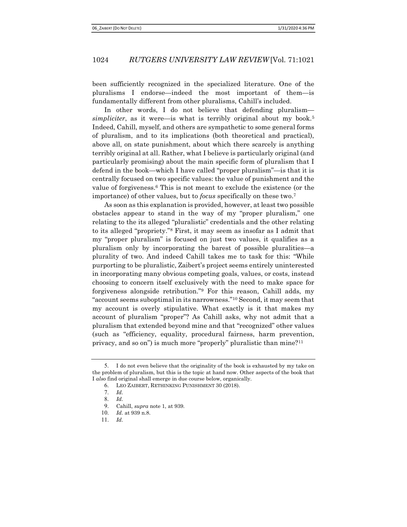been sufficiently recognized in the specialized literature. One of the pluralisms I endorse—indeed the most important of them—is fundamentally different from other pluralisms, Cahill's included.

In other words, I do not believe that defending pluralism simpliciter, as it were—is what is terribly original about my book.<sup>5</sup> Indeed, Cahill, myself, and others are sympathetic to some general forms of pluralism, and to its implications (both theoretical and practical), above all, on state punishment, about which there scarcely is anything terribly original at all. Rather, what I believe is particularly original (and particularly promising) about the main specific form of pluralism that I defend in the book—which I have called "proper pluralism"—is that it is centrally focused on two specific values: the value of punishment and the value of forgiveness.6 This is not meant to exclude the existence (or the importance) of other values, but to *focus* specifically on these two.<sup>7</sup>

As soon as this explanation is provided, however, at least two possible obstacles appear to stand in the way of my "proper pluralism," one relating to the its alleged "pluralistic" credentials and the other relating to its alleged "propriety."8 First, it may seem as insofar as I admit that my "proper pluralism" is focused on just two values, it qualifies as a pluralism only by incorporating the barest of possible pluralities—a plurality of two. And indeed Cahill takes me to task for this: "While purporting to be pluralistic, Zaibert's project seems entirely uninterested in incorporating many obvious competing goals, values, or costs, instead choosing to concern itself exclusively with the need to make space for forgiveness alongside retribution."9 For this reason, Cahill adds, my "account seems suboptimal in its narrowness."10 Second, it may seem that my account is overly stipulative. What exactly is it that makes my account of pluralism "proper"? As Cahill asks, why not admit that a pluralism that extended beyond mine and that "recognized" other values (such as "efficiency, equality, procedural fairness, harm prevention, privacy, and so on") is much more "properly" pluralistic than mine?<sup>11</sup>

<sup>5</sup>. I do not even believe that the originality of the book is exhausted by my take on the problem of pluralism, but this is the topic at hand now. Other aspects of the book that I also find original shall emerge in due course below, organically.

<sup>6</sup>. LEO ZAIBERT, RETHINKING PUNISHMENT 30 (2018).

<sup>7</sup>. Id.

<sup>8</sup>. Id.

<sup>9</sup>. Cahill, supra note 1, at 939.

<sup>10</sup>. Id. at 939 n.8.

<sup>11</sup>. Id.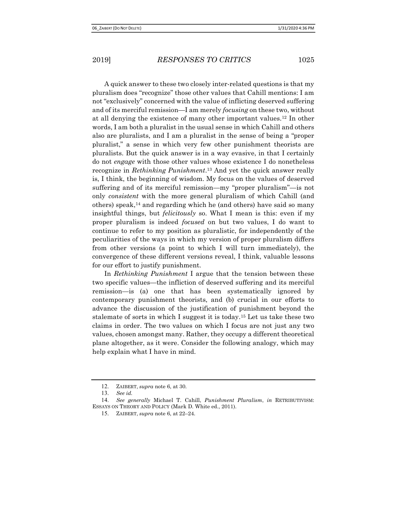A quick answer to these two closely inter-related questions is that my pluralism does "recognize" those other values that Cahill mentions: I am not "exclusively" concerned with the value of inflicting deserved suffering and of its merciful remission—I am merely focusing on these two, without at all denying the existence of many other important values.12 In other words, I am both a pluralist in the usual sense in which Cahill and others also are pluralists, and I am a pluralist in the sense of being a "proper pluralist," a sense in which very few other punishment theorists are pluralists. But the quick answer is in a way evasive, in that I certainly do not engage with those other values whose existence I do nonetheless recognize in Rethinking Punishment.<sup>13</sup> And yet the quick answer really is, I think, the beginning of wisdom. My focus on the values of deserved suffering and of its merciful remission—my "proper pluralism"—is not only consistent with the more general pluralism of which Cahill (and others) speak, $14$  and regarding which he (and others) have said so many insightful things, but *felicitously* so. What I mean is this: even if my proper pluralism is indeed focused on but two values, I do want to continue to refer to my position as pluralistic, for independently of the peculiarities of the ways in which my version of proper pluralism differs from other versions (a point to which I will turn immediately), the convergence of these different versions reveal, I think, valuable lessons for our effort to justify punishment.

In Rethinking Punishment I argue that the tension between these two specific values—the infliction of deserved suffering and its merciful remission—is (a) one that has been systematically ignored by contemporary punishment theorists, and (b) crucial in our efforts to advance the discussion of the justification of punishment beyond the stalemate of sorts in which I suggest it is today.15 Let us take these two claims in order. The two values on which I focus are not just any two values, chosen amongst many. Rather, they occupy a different theoretical plane altogether, as it were. Consider the following analogy, which may help explain what I have in mind.

<sup>12</sup>. ZAIBERT, supra note 6, at 30.

<sup>13</sup>. See id.

<sup>14</sup>. See generally Michael T. Cahill, Punishment Pluralism, in RETRIBUTIVISM: ESSAYS ON THEORY AND POLICY (Mark D. White ed., 2011).

<sup>15</sup>. ZAIBERT, supra note 6, at 22–24.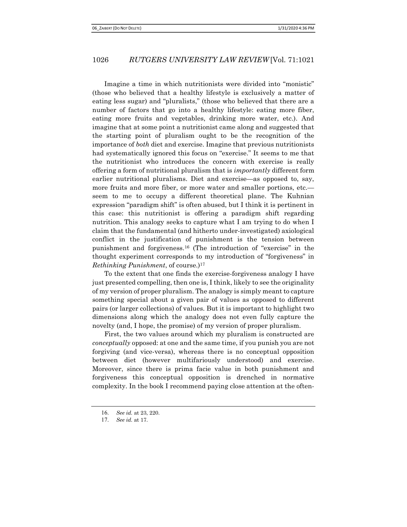Imagine a time in which nutritionists were divided into "monistic" (those who believed that a healthy lifestyle is exclusively a matter of eating less sugar) and "pluralists," (those who believed that there are a number of factors that go into a healthy lifestyle: eating more fiber, eating more fruits and vegetables, drinking more water, etc.). And imagine that at some point a nutritionist came along and suggested that the starting point of pluralism ought to be the recognition of the importance of both diet and exercise. Imagine that previous nutritionists had systematically ignored this focus on "exercise." It seems to me that the nutritionist who introduces the concern with exercise is really offering a form of nutritional pluralism that is importantly different form earlier nutritional pluralisms. Diet and exercise—as opposed to, say, more fruits and more fiber, or more water and smaller portions, etc. seem to me to occupy a different theoretical plane. The Kuhnian expression "paradigm shift" is often abused, but I think it is pertinent in this case: this nutritionist is offering a paradigm shift regarding nutrition. This analogy seeks to capture what I am trying to do when I claim that the fundamental (and hitherto under-investigated) axiological conflict in the justification of punishment is the tension between punishment and forgiveness.16 (The introduction of "exercise" in the thought experiment corresponds to my introduction of "forgiveness" in Rethinking Punishment, of course.)<sup>17</sup>

To the extent that one finds the exercise-forgiveness analogy I have just presented compelling, then one is, I think, likely to see the originality of my version of proper pluralism. The analogy is simply meant to capture something special about a given pair of values as opposed to different pairs (or larger collections) of values. But it is important to highlight two dimensions along which the analogy does not even fully capture the novelty (and, I hope, the promise) of my version of proper pluralism.

First, the two values around which my pluralism is constructed are conceptually opposed: at one and the same time, if you punish you are not forgiving (and vice-versa), whereas there is no conceptual opposition between diet (however multifariously understood) and exercise. Moreover, since there is prima facie value in both punishment and forgiveness this conceptual opposition is drenched in normative complexity. In the book I recommend paying close attention at the often-

<sup>16</sup>. See id. at 23, 220.

<sup>17</sup>. See id. at 17.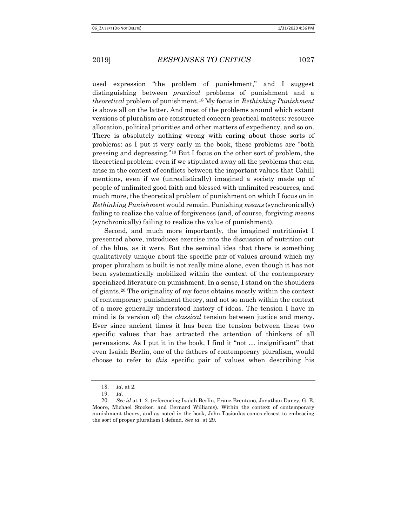used expression "the problem of punishment," and I suggest distinguishing between practical problems of punishment and a theoretical problem of punishment.18 My focus in Rethinking Punishment is above all on the latter. And most of the problems around which extant versions of pluralism are constructed concern practical matters: resource allocation, political priorities and other matters of expediency, and so on. There is absolutely nothing wrong with caring about those sorts of problems: as I put it very early in the book, these problems are "both pressing and depressing."19 But I focus on the other sort of problem, the theoretical problem: even if we stipulated away all the problems that can arise in the context of conflicts between the important values that Cahill mentions, even if we (unrealistically) imagined a society made up of people of unlimited good faith and blessed with unlimited resources, and much more, the theoretical problem of punishment on which I focus on in Rethinking Punishment would remain. Punishing means (synchronically) failing to realize the value of forgiveness (and, of course, forgiving means (synchronically) failing to realize the value of punishment).

Second, and much more importantly, the imagined nutritionist I presented above, introduces exercise into the discussion of nutrition out of the blue, as it were. But the seminal idea that there is something qualitatively unique about the specific pair of values around which my proper pluralism is built is not really mine alone, even though it has not been systematically mobilized within the context of the contemporary specialized literature on punishment. In a sense, I stand on the shoulders of giants.20 The originality of my focus obtains mostly within the context of contemporary punishment theory, and not so much within the context of a more generally understood history of ideas. The tension I have in mind is (a version of) the classical tension between justice and mercy. Ever since ancient times it has been the tension between these two specific values that has attracted the attention of thinkers of all persuasions. As I put it in the book, I find it "not … insignificant" that even Isaiah Berlin, one of the fathers of contemporary pluralism, would choose to refer to this specific pair of values when describing his

<sup>18</sup>. Id. at 2.

<sup>19</sup>. Id.

<sup>20</sup>. See id at 1–2. (referencing Isaiah Berlin, Franz Brentano, Jonathan Dancy, G. E. Moore, Michael Stocker, and Bernard Williams). Within the context of contemporary punishment theory, and as noted in the book, John Tasioulas comes closest to embracing the sort of proper pluralism I defend. See id. at 29.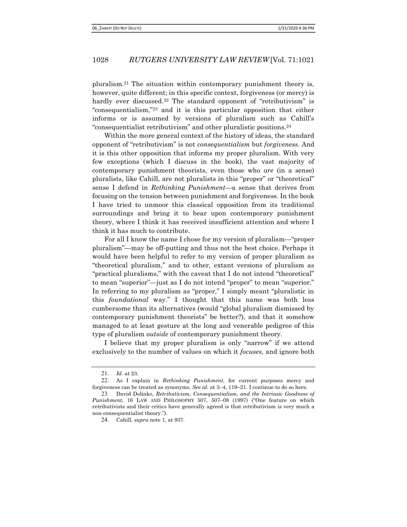pluralism.21 The situation within contemporary punishment theory is, however, quite different; in this specific context, forgiveness (or mercy) is hardly ever discussed.<sup>22</sup> The standard opponent of "retributivism" is "consequentialism,"23 and it is this particular opposition that either informs or is assumed by versions of pluralism such as Cahill's "consequentialist retributivism" and other pluralistic positions.<sup>24</sup>

Within the more general context of the history of ideas, the standard opponent of "retributivism" is not consequentialism but forgiveness. And it is this other opposition that informs my proper pluralism. With very few exceptions (which I discuss in the book), the vast majority of contemporary punishment theorists, even those who are (in a sense) pluralists, like Cahill, are not pluralists in this "proper" or "theoretical" sense I defend in Rethinking Punishment—a sense that derives from focusing on the tension between punishment and forgiveness. In the book I have tried to unmoor this classical opposition from its traditional surroundings and bring it to bear upon contemporary punishment theory, where I think it has received insufficient attention and where I think it has much to contribute.

For all I know the name I chose for my version of pluralism—"proper pluralism"—may be off-putting and thus not the best choice. Perhaps it would have been helpful to refer to my version of proper pluralism as "theoretical pluralism," and to other, extant versions of pluralism as "practical pluralisms," with the caveat that I do not intend "theoretical" to mean "superior"—just as I do not intend "proper" to mean "superior." In referring to my pluralism as "proper," I simply meant "pluralistic in this foundational way." I thought that this name was both less cumbersome than its alternatives (would "global pluralism dismissed by contemporary punishment theorists" be better?), and that it somehow managed to at least gesture at the long and venerable pedigree of this type of pluralism *outside* of contemporary punishment theory.

I believe that my proper pluralism is only "narrow" if we attend exclusively to the number of values on which it focuses, and ignore both

<sup>21</sup>. Id. at 23.

<sup>22</sup>. As I explain in Rethinking Punishment, for current purposes mercy and forgiveness can be treated as synonyms. See id. at 3–4, 119–21. I continue to do so here.

<sup>23</sup>. David Dolinko, Retributivism, Consequentialism, and the Intrinsic Goodness of Punishment, 16 LAW AND PHILOSOPHY 507, 507-08 (1997) ("One feature on which retributivists and their critics have generally agreed is that retributivism is very much a non-consequentialist theory.").

<sup>24</sup>. Cahill, supra note 1, at 937.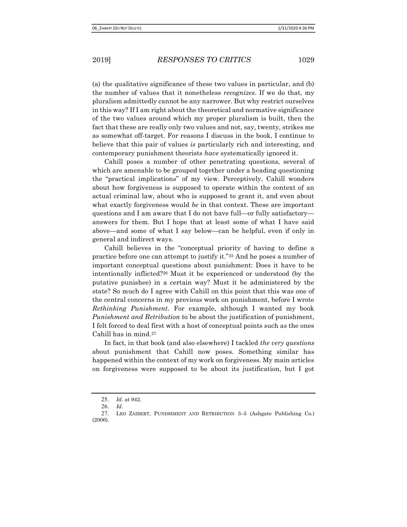(a) the qualitative significance of these two values in particular, and (b) the number of values that it nonetheless *recognizes*. If we do that, my pluralism admittedly cannot be any narrower. But why restrict ourselves in this way? If I am right about the theoretical and normative significance of the two values around which my proper pluralism is built, then the fact that these are really only two values and not, say, twenty, strikes me as somewhat off-target. For reasons I discuss in the book, I continue to believe that this pair of values is particularly rich and interesting, and contemporary punishment theorists have systematically ignored it.

Cahill poses a number of other penetrating questions, several of which are amenable to be grouped together under a heading questioning the "practical implications" of my view. Perceptively, Cahill wonders about how forgiveness is supposed to operate within the context of an actual criminal law, about who is supposed to grant it, and even about what exactly forgiveness would be in that context. These are important questions and I am aware that I do not have full—or fully satisfactory answers for them. But I hope that at least some of what I have said above—and some of what I say below—can be helpful, even if only in general and indirect ways.

Cahill believes in the "conceptual priority of having to define a practice before one can attempt to justify it."25 And he poses a number of important conceptual questions about punishment: Does it have to be intentionally inflicted?26 Must it be experienced or understood (by the putative punishee) in a certain way? Must it be administered by the state? So much do I agree with Cahill on this point that this was one of the central concerns in my previous work on punishment, before I wrote Rethinking Punishment. For example, although I wanted my book Punishment and Retribution to be about the justification of punishment, I felt forced to deal first with a host of conceptual points such as the ones Cahill has in mind.<sup>27</sup>

In fact, in that book (and also elsewhere) I tackled the very questions about punishment that Cahill now poses. Something similar has happened within the context of my work on forgiveness. My main articles on forgiveness were supposed to be about its justification, but I got

<sup>25</sup>. Id. at 942.

<sup>26</sup>. Id.

<sup>27</sup>. LEO ZAIBERT, PUNISHMENT AND RETRIBUTION 3–5 (Ashgate Publishing Co.) (2006).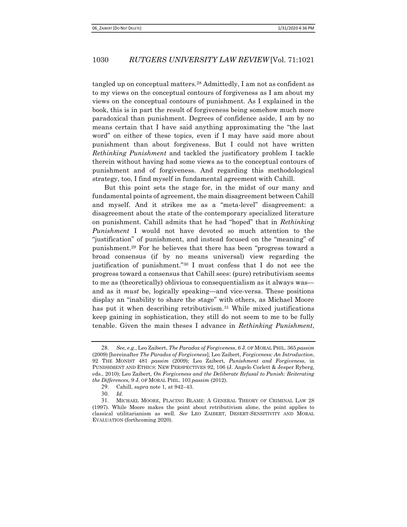tangled up on conceptual matters.28 Admittedly, I am not as confident as to my views on the conceptual contours of forgiveness as I am about my views on the conceptual contours of punishment. As I explained in the book, this is in part the result of forgiveness being somehow much more paradoxical than punishment. Degrees of confidence aside, I am by no means certain that I have said anything approximating the "the last word" on either of these topics, even if I may have said more about punishment than about forgiveness. But I could not have written Rethinking Punishment and tackled the justificatory problem I tackle therein without having had some views as to the conceptual contours of punishment and of forgiveness. And regarding this methodological strategy, too, I find myself in fundamental agreement with Cahill.

But this point sets the stage for, in the midst of our many and fundamental points of agreement, the main disagreement between Cahill and myself. And it strikes me as a "meta-level" disagreement: a disagreement about the state of the contemporary specialized literature on punishment. Cahill admits that he had "hoped" that in Rethinking Punishment I would not have devoted so much attention to the "justification" of punishment, and instead focused on the "meaning" of punishment.29 For he believes that there has been "progress toward a broad consensus (if by no means universal) view regarding the justification of punishment."30 I must confess that I do not see the progress toward a consensus that Cahill sees: (pure) retributivism seems to me as (theoretically) oblivious to consequentialism as it always was and as it must be, logically speaking—and vice-versa. These positions display an "inability to share the stage" with others, as Michael Moore has put it when describing retributivism.<sup>31</sup> While mixed justifications keep gaining in sophistication, they still do not seem to me to be fully tenable. Given the main theses I advance in Rethinking Punishment,

<sup>28.</sup> See, e.g., Leo Zaibert, The Paradox of Forgiveness, 6 J. OF MORAL PHIL. 365 passim (2009) [hereinafter The Paradox of Forgiveness]; Leo Zaibert, Forgiveness: An Introduction, 92 THE MONIST 481 passim (2009); Leo Zaibert, Punishment and Forgiveness, in PUNISHMENT AND ETHICS: NEW PERSPECTIVES 92, 106 (J. Angelo Corlett & Jesper Ryberg, eds., 2010); Leo Zaibert, On Forgiveness and the Deliberate Refusal to Punish: Reiterating the Differences, 9 J. OF MORAL PHIL. 103 passim (2012).

<sup>29</sup>. Cahill, supra note 1, at 942–43.

<sup>30</sup>. Id.

<sup>31</sup>. MICHAEL MOORE, PLACING BLAME: A GENERAL THEORY OF CRIMINAL LAW 28 (1997). While Moore makes the point about retributivism alone, the point applies to classical utilitarianism as well. See LEO ZAIBERT, DESERT-SENSITIVITY AND MORAL EVALUATION (forthcoming 2020).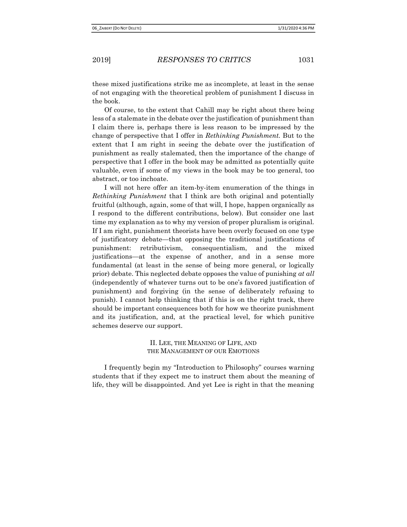these mixed justifications strike me as incomplete, at least in the sense of not engaging with the theoretical problem of punishment I discuss in the book.

Of course, to the extent that Cahill may be right about there being less of a stalemate in the debate over the justification of punishment than I claim there is, perhaps there is less reason to be impressed by the change of perspective that I offer in Rethinking Punishment. But to the extent that I am right in seeing the debate over the justification of punishment as really stalemated, then the importance of the change of perspective that I offer in the book may be admitted as potentially quite valuable, even if some of my views in the book may be too general, too abstract, or too inchoate.

I will not here offer an item-by-item enumeration of the things in Rethinking Punishment that I think are both original and potentially fruitful (although, again, some of that will, I hope, happen organically as I respond to the different contributions, below). But consider one last time my explanation as to why my version of proper pluralism is original. If I am right, punishment theorists have been overly focused on one type of justificatory debate—that opposing the traditional justifications of punishment: retributivism, consequentialism, and the mixed justifications—at the expense of another, and in a sense more fundamental (at least in the sense of being more general, or logically prior) debate. This neglected debate opposes the value of punishing at all (independently of whatever turns out to be one's favored justification of punishment) and forgiving (in the sense of deliberately refusing to punish). I cannot help thinking that if this is on the right track, there should be important consequences both for how we theorize punishment and its justification, and, at the practical level, for which punitive schemes deserve our support.

## II. LEE, THE MEANING OF LIFE, AND THE MANAGEMENT OF OUR EMOTIONS

I frequently begin my "Introduction to Philosophy" courses warning students that if they expect me to instruct them about the meaning of life, they will be disappointed. And yet Lee is right in that the meaning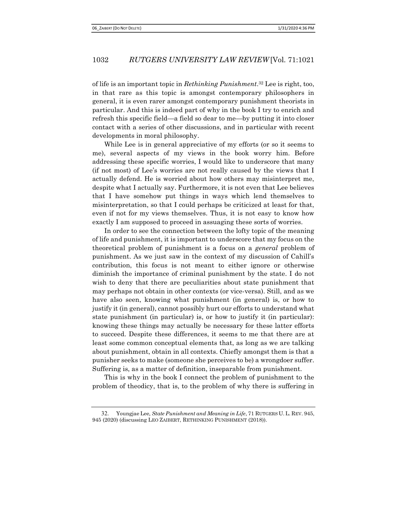of life is an important topic in Rethinking Punishment.<sup>32</sup> Lee is right, too, in that rare as this topic is amongst contemporary philosophers in general, it is even rarer amongst contemporary punishment theorists in particular. And this is indeed part of why in the book I try to enrich and refresh this specific field—a field so dear to me—by putting it into closer contact with a series of other discussions, and in particular with recent developments in moral philosophy.

While Lee is in general appreciative of my efforts (or so it seems to me), several aspects of my views in the book worry him. Before addressing these specific worries, I would like to underscore that many (if not most) of Lee's worries are not really caused by the views that I actually defend. He is worried about how others may misinterpret me, despite what I actually say. Furthermore, it is not even that Lee believes that I have somehow put things in ways which lend themselves to misinterpretation, so that I could perhaps be criticized at least for that, even if not for my views themselves. Thus, it is not easy to know how exactly I am supposed to proceed in assuaging these sorts of worries.

In order to see the connection between the lofty topic of the meaning of life and punishment, it is important to underscore that my focus on the theoretical problem of punishment is a focus on a general problem of punishment. As we just saw in the context of my discussion of Cahill's contribution, this focus is not meant to either ignore or otherwise diminish the importance of criminal punishment by the state. I do not wish to deny that there are peculiarities about state punishment that may perhaps not obtain in other contexts (or vice-versa). Still, and as we have also seen, knowing what punishment (in general) is, or how to justify it (in general), cannot possibly hurt our efforts to understand what state punishment (in particular) is, or how to justify it (in particular): knowing these things may actually be necessary for these latter efforts to succeed. Despite these differences, it seems to me that there are at least some common conceptual elements that, as long as we are talking about punishment, obtain in all contexts. Chiefly amongst them is that a punisher seeks to make (someone she perceives to be) a wrongdoer suffer. Suffering is, as a matter of definition, inseparable from punishment.

 This is why in the book I connect the problem of punishment to the problem of theodicy, that is, to the problem of why there is suffering in

<sup>32.</sup> Youngjae Lee, State Punishment and Meaning in Life, 71 RUTGERS U. L. REV. 945, 945 (2020) (discussing LEO ZAIBERT, RETHINKING PUNISHMENT (2018)).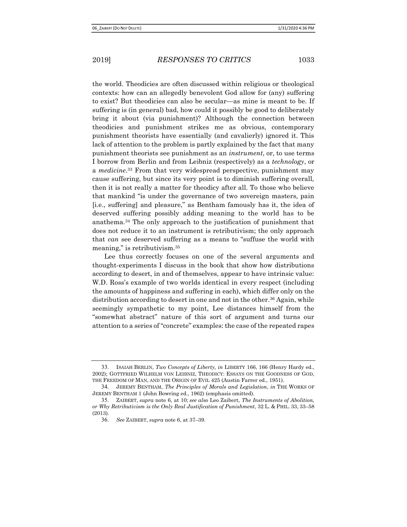the world. Theodicies are often discussed within religious or theological contexts: how can an allegedly benevolent God allow for (any) suffering to exist? But theodicies can also be secular—as mine is meant to be. If suffering is (in general) bad, how could it possibly be good to deliberately bring it about (via punishment)? Although the connection between theodicies and punishment strikes me as obvious, contemporary punishment theorists have essentially (and cavalierly) ignored it. This lack of attention to the problem is partly explained by the fact that many punishment theorists see punishment as an instrument, or, to use terms I borrow from Berlin and from Leibniz (respectively) as a technology, or a *medicine*.<sup>33</sup> From that very widespread perspective, punishment may cause suffering, but since its very point is to diminish suffering overall, then it is not really a matter for theodicy after all. To those who believe that mankind "is under the governance of two sovereign masters, pain [i.e., suffering] and pleasure," as Bentham famously has it, the idea of deserved suffering possibly adding meaning to the world has to be anathema.34 The only approach to the justification of punishment that does not reduce it to an instrument is retributivism; the only approach that can see deserved suffering as a means to "suffuse the world with meaning," is retributivism.<sup>35</sup>

Lee thus correctly focuses on one of the several arguments and thought-experiments I discuss in the book that show how distributions according to desert, in and of themselves, appear to have intrinsic value: W.D. Ross's example of two worlds identical in every respect (including the amounts of happiness and suffering in each), which differ only on the distribution according to desert in one and not in the other.<sup>36</sup> Again, while seemingly sympathetic to my point, Lee distances himself from the "somewhat abstract" nature of this sort of argument and turns our attention to a series of "concrete" examples: the case of the repeated rapes

<sup>33.</sup> ISAIAH BERLIN, Two Concepts of Liberty, in LIBERTY 166, 166 (Henry Hardy ed., 2002); GOTTFRIED WILHELM VON LEIBNIZ, THEODICY: ESSAYS ON THE GOODNESS OF GOD, THE FREEDOM OF MAN, AND THE ORIGIN OF EVIL 425 (Austin Farrer ed., 1951).

<sup>34</sup>. JEREMY BENTHAM, The Principles of Morals and Legislation, in THE WORKS OF JEREMY BENTHAM 1 (John Bowring ed., 1962) (emphasis omitted).

<sup>35</sup>. ZAIBERT, supra note 6, at 10; see also Leo Zaibert, The Instruments of Abolition, or Why Retributivism is the Only Real Justification of Punishment, 32 L. & PHIL. 33, 33–58 (2013).

<sup>36</sup>. See ZAIBERT, supra note 6, at 37–39.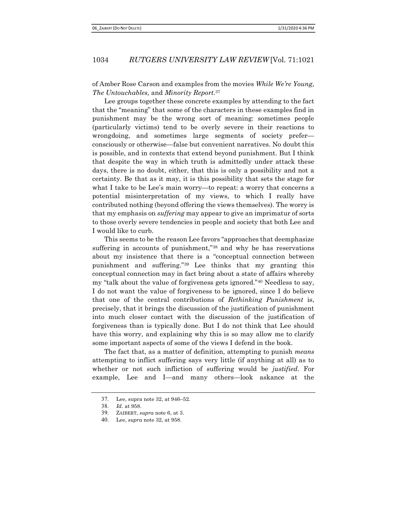of Amber Rose Carson and examples from the movies While We're Young, The Untouchables, and Minority Report.<sup>37</sup>

Lee groups together these concrete examples by attending to the fact that the "meaning" that some of the characters in these examples find in punishment may be the wrong sort of meaning: sometimes people (particularly victims) tend to be overly severe in their reactions to wrongdoing, and sometimes large segments of society prefer consciously or otherwise—false but convenient narratives. No doubt this is possible, and in contexts that extend beyond punishment. But I think that despite the way in which truth is admittedly under attack these days, there is no doubt, either, that this is only a possibility and not a certainty. Be that as it may, it is this possibility that sets the stage for what I take to be Lee's main worry—to repeat: a worry that concerns a potential misinterpretation of my views, to which I really have contributed nothing (beyond offering the views themselves). The worry is that my emphasis on *suffering* may appear to give an imprimatur of sorts to those overly severe tendencies in people and society that both Lee and I would like to curb.

This seems to be the reason Lee favors "approaches that deemphasize suffering in accounts of punishment,"<sup>38</sup> and why he has reservations about my insistence that there is a "conceptual connection between punishment and suffering."39 Lee thinks that my granting this conceptual connection may in fact bring about a state of affairs whereby my "talk about the value of forgiveness gets ignored."40 Needless to say, I do not want the value of forgiveness to be ignored, since I do believe that one of the central contributions of Rethinking Punishment is, precisely, that it brings the discussion of the justification of punishment into much closer contact with the discussion of the justification of forgiveness than is typically done. But I do not think that Lee should have this worry, and explaining why this is so may allow me to clarify some important aspects of some of the views I defend in the book.

The fact that, as a matter of definition, attempting to punish *means* attempting to inflict suffering says very little (if anything at all) as to whether or not such infliction of suffering would be justified. For example, Lee and I—and many others—look askance at the

<sup>37</sup>. Lee, supra note 32, at 946–52.

<sup>38</sup>. Id. at 958.

<sup>39</sup>. ZAIBERT, supra note 6, at 3.

<sup>40</sup>. Lee, supra note 32, at 958.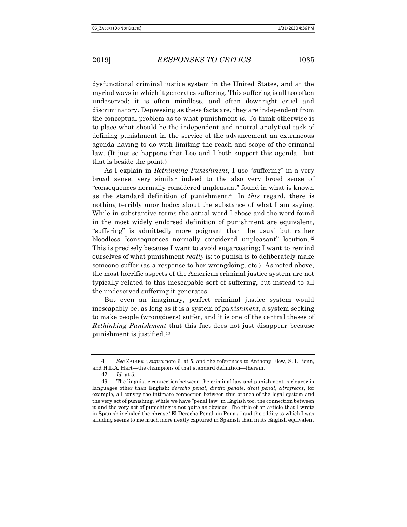dysfunctional criminal justice system in the United States, and at the myriad ways in which it generates suffering. This suffering is all too often undeserved; it is often mindless, and often downright cruel and discriminatory. Depressing as these facts are, they are independent from the conceptual problem as to what punishment is. To think otherwise is to place what should be the independent and neutral analytical task of defining punishment in the service of the advancement an extraneous agenda having to do with limiting the reach and scope of the criminal law. (It just so happens that Lee and I both support this agenda—but that is beside the point.)

As I explain in *Rethinking Punishment*, I use "suffering" in a very broad sense, very similar indeed to the also very broad sense of "consequences normally considered unpleasant" found in what is known as the standard definition of punishment.<sup>41</sup> In this regard, there is nothing terribly unorthodox about the substance of what I am saying. While in substantive terms the actual word I chose and the word found in the most widely endorsed definition of punishment are equivalent, "suffering" is admittedly more poignant than the usual but rather bloodless "consequences normally considered unpleasant" locution.<sup>42</sup> This is precisely because I want to avoid sugarcoating; I want to remind ourselves of what punishment *really* is: to punish is to deliberately make someone suffer (as a response to her wrongdoing, etc.). As noted above, the most horrific aspects of the American criminal justice system are not typically related to this inescapable sort of suffering, but instead to all the undeserved suffering it generates.

But even an imaginary, perfect criminal justice system would inescapably be, as long as it is a system of punishment, a system seeking to make people (wrongdoers) suffer, and it is one of the central theses of Rethinking Punishment that this fact does not just disappear because punishment is justified.<sup>43</sup>

<sup>41</sup>. See ZAIBERT, supra note 6, at 5, and the references to Anthony Flew, S. I. Benn, and H.L.A. Hart—the champions of that standard definition—therein.

<sup>42</sup>. Id. at 5.

<sup>43</sup>. The linguistic connection between the criminal law and punishment is clearer in languages other than English: derecho penal, diritto penale, droit penal, Strafrecht, for example, all convey the intimate connection between this branch of the legal system and the very act of punishing. While we have "penal law" in English too, the connection between it and the very act of punishing is not quite as obvious. The title of an article that I wrote in Spanish included the phrase "El Derecho Penal sin Penas," and the oddity to which I was alluding seems to me much more neatly captured in Spanish than in its English equivalent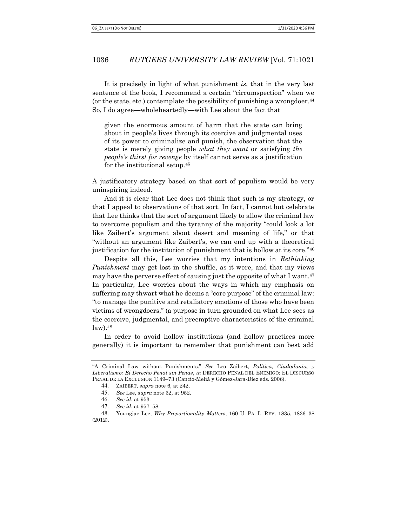It is precisely in light of what punishment is, that in the very last sentence of the book, I recommend a certain "circumspection" when we (or the state, etc.) contemplate the possibility of punishing a wrongdoer.<sup>44</sup> So, I do agree—wholeheartedly—with Lee about the fact that

given the enormous amount of harm that the state can bring about in people's lives through its coercive and judgmental uses of its power to criminalize and punish, the observation that the state is merely giving people what they want or satisfying the people's thirst for revenge by itself cannot serve as a justification for the institutional setup.<sup>45</sup>

A justificatory strategy based on that sort of populism would be very uninspiring indeed.

And it is clear that Lee does not think that such is my strategy, or that I appeal to observations of that sort. In fact, I cannot but celebrate that Lee thinks that the sort of argument likely to allow the criminal law to overcome populism and the tyranny of the majority "could look a lot like Zaibert's argument about desert and meaning of life," or that "without an argument like Zaibert's, we can end up with a theoretical justification for the institution of punishment that is hollow at its core."<sup>46</sup>

Despite all this, Lee worries that my intentions in Rethinking Punishment may get lost in the shuffle, as it were, and that my views may have the perverse effect of causing just the opposite of what I want.<sup>47</sup> In particular, Lee worries about the ways in which my emphasis on suffering may thwart what he deems a "core purpose" of the criminal law: "to manage the punitive and retaliatory emotions of those who have been victims of wrongdoers," (a purpose in turn grounded on what Lee sees as the coercive, judgmental, and preemptive characteristics of the criminal  $law).48$ 

In order to avoid hollow institutions (and hollow practices more generally) it is important to remember that punishment can best add

<sup>&</sup>quot;A Criminal Law without Punishments." See Leo Zaibert, Politica, Ciudadania, y Liberalismo: El Derecho Penal sin Penas, in DERECHO PENAL DEL ENEMIGO: EL DISCURSO PENAL DE LA EXCLUSIÓN 1149–73 (Cancio-Meliá y Gómez-Jara-Díez eds. 2006).

<sup>44</sup>. ZAIBERT, supra note 6, at 242.

<sup>45</sup>. See Lee, supra note 32, at 952.

<sup>46</sup>. See id. at 953.

<sup>47</sup>. See id. at 957–58.

<sup>48</sup>. Youngjae Lee, Why Proportionality Matters, 160 U. PA. L. REV. 1835, 1836–38 (2012).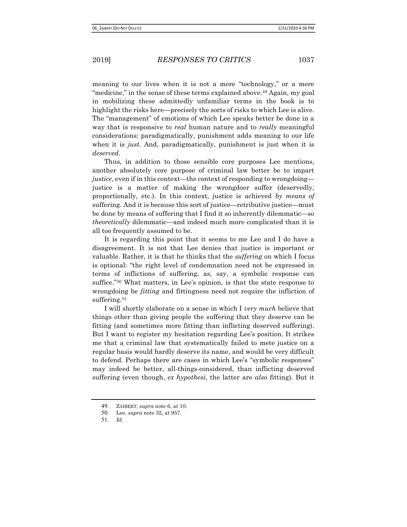meaning to our lives when it is not a mere "technology," or a mere "medicine," in the sense of these terms explained above.<sup>49</sup> Again, my goal in mobilizing these admittedly unfamiliar terms in the book is to highlight the risks here—precisely the sorts of risks to which Lee is alive. The "management" of emotions of which Lee speaks better be done in a way that is responsive to *real* human nature and to *really* meaningful considerations: paradigmatically, punishment adds meaning to our life when it is *just*. And, paradigmatically, punishment is just when it is deserved.

Thus, in addition to those sensible core purposes Lee mentions, another absolutely core purpose of criminal law better be to impart justice, even if in this context—the context of responding to wrongdoing justice is a matter of making the wrongdoer suffer (deservedly, proportionally, etc.). In this context, justice is achieved by means of suffering. And it is because this sort of justice—retributive justice—must be done by means of suffering that I find it so inherently dilemmatic—so theoretically dilemmatic—and indeed much more complicated than it is all too frequently assumed to be.

It is regarding this point that it seems to me Lee and I do have a disagreement. It is not that Lee denies that justice is important or valuable. Rather, it is that he thinks that the suffering on which I focus is optional: "the right level of condemnation need not be expressed in terms of inflictions of suffering, as, say, a symbolic response can suffice."50 What matters, in Lee's opinion, is that the state response to wrongdoing be *fitting* and fittingness need not require the infliction of suffering.<sup>51</sup>

I will shortly elaborate on a sense in which I very much believe that things other than giving people the suffering that they deserve can be fitting (and sometimes more fitting than inflicting deserved suffering). But I want to register my hesitation regarding Lee's position. It strikes me that a criminal law that systematically failed to mete justice on a regular basis would hardly deserve its name, and would be very difficult to defend. Perhaps there are cases in which Lee's "symbolic responses" may indeed be better, all-things-considered, than inflicting deserved suffering (even though, ex hypothesi, the latter are also fitting). But it

<sup>49</sup>. ZAIBERT, supra note 6, at 10.

<sup>50</sup>. Lee, supra note 32, at 957.

<sup>51</sup>. Id.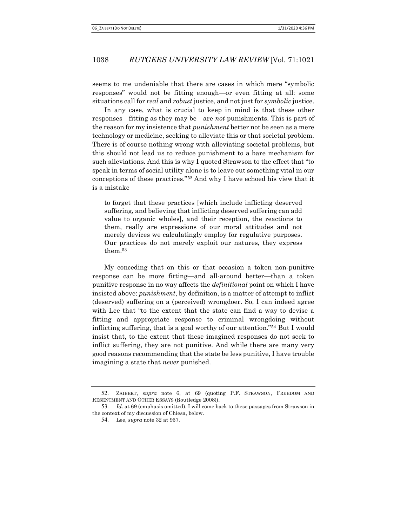seems to me undeniable that there are cases in which mere "symbolic responses" would not be fitting enough—or even fitting at all: some situations call for *real* and *robust* justice, and not just for *symbolic* justice.

In any case, what is crucial to keep in mind is that these other responses—fitting as they may be—are not punishments. This is part of the reason for my insistence that *punishment* better not be seen as a mere technology or medicine, seeking to alleviate this or that societal problem. There is of course nothing wrong with alleviating societal problems, but this should not lead us to reduce punishment to a bare mechanism for such alleviations. And this is why I quoted Strawson to the effect that "to speak in terms of social utility alone is to leave out something vital in our conceptions of these practices."52 And why I have echoed his view that it is a mistake

to forget that these practices [which include inflicting deserved suffering, and believing that inflicting deserved suffering can add value to organic wholes], and their reception, the reactions to them, really are expressions of our moral attitudes and not merely devices we calculatingly employ for regulative purposes. Our practices do not merely exploit our natures, they express them.<sup>53</sup>

My conceding that on this or that occasion a token non-punitive response can be more fitting—and all-around better—than a token punitive response in no way affects the *definitional* point on which I have insisted above: punishment, by definition, is a matter of attempt to inflict (deserved) suffering on a (perceived) wrongdoer. So, I can indeed agree with Lee that "to the extent that the state can find a way to devise a fitting and appropriate response to criminal wrongdoing without inflicting suffering, that is a goal worthy of our attention."54 But I would insist that, to the extent that these imagined responses do not seek to inflict suffering, they are not punitive. And while there are many very good reasons recommending that the state be less punitive, I have trouble imagining a state that *never* punished.

<sup>52</sup>. ZAIBERT, supra note 6, at 69 (quoting P.F. STRAWSON, FREEDOM AND RESENTMENT AND OTHER ESSAYS (Routledge 2008)).

<sup>53</sup>. Id. at 69 (emphasis omitted). I will come back to these passages from Strawson in the context of my discussion of Chiesa, below.

<sup>54</sup>. Lee, supra note 32 at 957.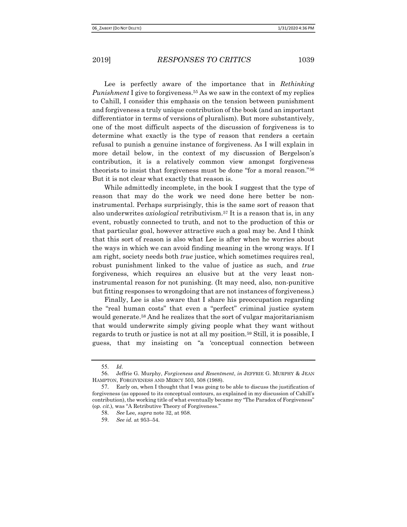Lee is perfectly aware of the importance that in Rethinking *Punishment* I give to forgiveness.<sup>55</sup> As we saw in the context of my replies to Cahill, I consider this emphasis on the tension between punishment and forgiveness a truly unique contribution of the book (and an important differentiator in terms of versions of pluralism). But more substantively, one of the most difficult aspects of the discussion of forgiveness is to determine what exactly is the type of reason that renders a certain refusal to punish a genuine instance of forgiveness. As I will explain in more detail below, in the context of my discussion of Bergelson's contribution, it is a relatively common view amongst forgiveness theorists to insist that forgiveness must be done "for a moral reason."<sup>56</sup> But it is not clear what exactly that reason is.

While admittedly incomplete, in the book I suggest that the type of reason that may do the work we need done here better be noninstrumental. Perhaps surprisingly, this is the same sort of reason that also underwrites *axiological* retributivism.<sup>57</sup> It is a reason that is, in any event, robustly connected to truth, and not to the production of this or that particular goal, however attractive such a goal may be. And I think that this sort of reason is also what Lee is after when he worries about the ways in which we can avoid finding meaning in the wrong ways. If I am right, society needs both *true* justice, which sometimes requires real, robust punishment linked to the value of justice as such, and *true* forgiveness, which requires an elusive but at the very least noninstrumental reason for not punishing. (It may need, also, non-punitive but fitting responses to wrongdoing that are not instances of forgiveness.)

Finally, Lee is also aware that I share his preoccupation regarding the "real human costs" that even a "perfect" criminal justice system would generate.58 And he realizes that the sort of vulgar majoritarianism that would underwrite simply giving people what they want without regards to truth or justice is not at all my position.59 Still, it is possible, I guess, that my insisting on "a 'conceptual connection between

<sup>55</sup>. Id.

<sup>56</sup>. Jeffrie G. Murphy, Forgiveness and Resentment, in JEFFRIE G. MURPHY & JEAN HAMPTON, FORGIVENESS AND MERCY 503, 508 (1988).

<sup>57</sup>. Early on, when I thought that I was going to be able to discuss the justification of forgiveness (as opposed to its conceptual contours, as explained in my discussion of Cahill's contribution), the working title of what eventually became my "The Paradox of Forgiveness" (op. cit.), was "A Retributive Theory of Forgiveness."

<sup>58</sup>. See Lee, supra note 32, at 958.

<sup>59</sup>. See id. at 953–54.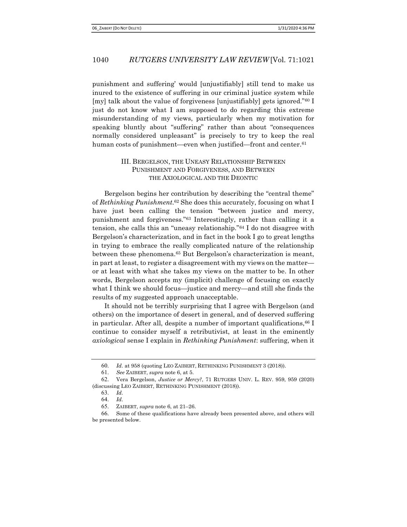punishment and suffering' would [unjustifiably] still tend to make us inured to the existence of suffering in our criminal justice system while [my] talk about the value of forgiveness [unjustifiably] gets ignored."60 I just do not know what I am supposed to do regarding this extreme misunderstanding of my views, particularly when my motivation for speaking bluntly about "suffering" rather than about "consequences normally considered unpleasant" is precisely to try to keep the real human costs of punishment—even when justified—front and center.<sup>61</sup>

## III. BERGELSON, THE UNEASY RELATIONSHIP BETWEEN PUNISHMENT AND FORGIVENESS, AND BETWEEN THE AXIOLOGICAL AND THE DEONTIC

Bergelson begins her contribution by describing the "central theme" of Rethinking Punishment.<sup>62</sup> She does this accurately, focusing on what I have just been calling the tension "between justice and mercy, punishment and forgiveness."63 Interestingly, rather than calling it a tension, she calls this an "uneasy relationship."64 I do not disagree with Bergelson's characterization, and in fact in the book I go to great lengths in trying to embrace the really complicated nature of the relationship between these phenomena.65 But Bergelson's characterization is meant, in part at least, to register a disagreement with my views on the matter or at least with what she takes my views on the matter to be. In other words, Bergelson accepts my (implicit) challenge of focusing on exactly what I think we should focus—justice and mercy—and still she finds the results of my suggested approach unacceptable.

It should not be terribly surprising that I agree with Bergelson (and others) on the importance of desert in general, and of deserved suffering in particular. After all, despite a number of important qualifications,  $^{66}$  I continue to consider myself a retributivist, at least in the eminently axiological sense I explain in Rethinking Punishment: suffering, when it

<sup>60</sup>. Id. at 958 (quoting LEO ZAIBERT, RETHINKING PUNISHMENT 3 (2018)).

<sup>61</sup>. See ZAIBERT, supra note 6, at 5.

<sup>62</sup>. Vera Bergelson, Justice or Mercy?, 71 RUTGERS UNIV. L. REV. 959, 959 (2020) (discussing LEO ZAIBERT, RETHINKING PUNISHMENT (2018)).

<sup>63</sup>. Id.

<sup>64</sup>. Id.

<sup>65</sup>. ZAIBERT, supra note 6, at 21–26.

<sup>66</sup>. Some of these qualifications have already been presented above, and others will be presented below.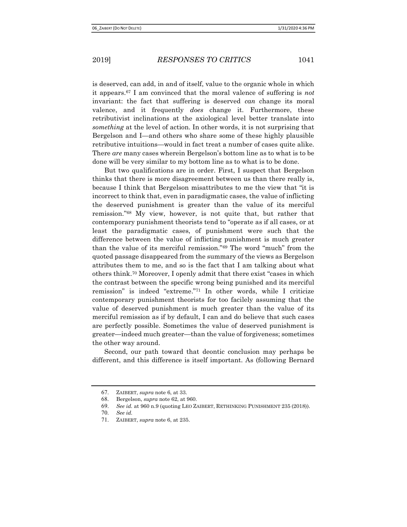is deserved, can add, in and of itself, value to the organic whole in which it appears.67 I am convinced that the moral valence of suffering is not invariant: the fact that suffering is deserved *can* change its moral valence, and it frequently *does* change it. Furthermore, these retributivist inclinations at the axiological level better translate into something at the level of action. In other words, it is not surprising that Bergelson and I—and others who share some of these highly plausible retributive intuitions—would in fact treat a number of cases quite alike. There are many cases wherein Bergelson's bottom line as to what is to be done will be very similar to my bottom line as to what is to be done.

But two qualifications are in order. First, I suspect that Bergelson thinks that there is more disagreement between us than there really is, because I think that Bergelson misattributes to me the view that "it is incorrect to think that, even in paradigmatic cases, the value of inflicting the deserved punishment is greater than the value of its merciful remission."68 My view, however, is not quite that, but rather that contemporary punishment theorists tend to "operate as if all cases, or at least the paradigmatic cases, of punishment were such that the difference between the value of inflicting punishment is much greater than the value of its merciful remission."69 The word "much" from the quoted passage disappeared from the summary of the views as Bergelson attributes them to me, and so is the fact that I am talking about what others think.70 Moreover, I openly admit that there exist "cases in which the contrast between the specific wrong being punished and its merciful remission" is indeed "extreme."71 In other words, while I criticize contemporary punishment theorists for too facilely assuming that the value of deserved punishment is much greater than the value of its merciful remission as if by default, I can and do believe that such cases are perfectly possible. Sometimes the value of deserved punishment is greater—indeed much greater—than the value of forgiveness; sometimes the other way around.

Second, our path toward that deontic conclusion may perhaps be different, and this difference is itself important. As (following Bernard

<sup>67</sup>. ZAIBERT, supra note 6, at 33.

<sup>68</sup>. Bergelson, supra note 62, at 960.

<sup>69</sup>. See id. at 960 n.9 (quoting LEO ZAIBERT, RETHINKING PUNISHMENT 235 (2018)).

<sup>70</sup>. See id.

<sup>71</sup>. ZAIBERT, supra note 6, at 235.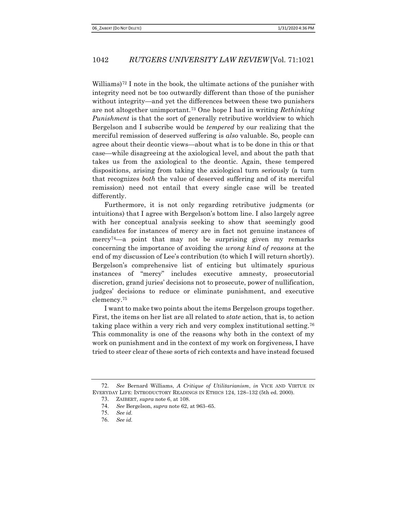Williams)72 I note in the book, the ultimate actions of the punisher with integrity need not be too outwardly different than those of the punisher without integrity—and yet the differences between these two punishers are not altogether unimportant.73 One hope I had in writing Rethinking Punishment is that the sort of generally retributive worldview to which Bergelson and I subscribe would be tempered by our realizing that the merciful remission of deserved suffering is also valuable. So, people can agree about their deontic views—about what is to be done in this or that case—while disagreeing at the axiological level, and about the path that takes us from the axiological to the deontic. Again, these tempered dispositions, arising from taking the axiological turn seriously (a turn that recognizes both the value of deserved suffering and of its merciful remission) need not entail that every single case will be treated differently.

Furthermore, it is not only regarding retributive judgments (or intuitions) that I agree with Bergelson's bottom line. I also largely agree with her conceptual analysis seeking to show that seemingly good candidates for instances of mercy are in fact not genuine instances of mercy74—a point that may not be surprising given my remarks concerning the importance of avoiding the wrong kind of reasons at the end of my discussion of Lee's contribution (to which I will return shortly). Bergelson's comprehensive list of enticing but ultimately spurious instances of "mercy" includes executive amnesty, prosecutorial discretion, grand juries' decisions not to prosecute, power of nullification, judges' decisions to reduce or eliminate punishment, and executive clemency.<sup>75</sup>

I want to make two points about the items Bergelson groups together. First, the items on her list are all related to state action, that is, to action taking place within a very rich and very complex institutional setting.<sup>76</sup> This commonality is one of the reasons why both in the context of my work on punishment and in the context of my work on forgiveness, I have tried to steer clear of these sorts of rich contexts and have instead focused

<sup>72</sup>. See Bernard Williams, A Critique of Utilitarianism, in VICE AND VIRTUE IN EVERYDAY LIFE: INTRODUCTORY READINGS IN ETHICS 124, 128–132 (5th ed. 2000).

<sup>73</sup>. ZAIBERT, supra note 6, at 108.

<sup>74</sup>. See Bergelson, supra note 62, at 963–65.

<sup>75</sup>. See id.

<sup>76</sup>. See id.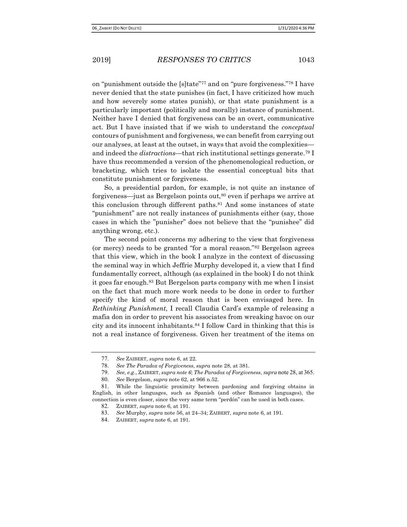on "punishment outside the [s]tate"77 and on "pure forgiveness."78 I have never denied that the state punishes (in fact, I have criticized how much and how severely some states punish), or that state punishment is a particularly important (politically and morally) instance of punishment. Neither have I denied that forgiveness can be an overt, communicative act. But I have insisted that if we wish to understand the conceptual contours of punishment and forgiveness, we can benefit from carrying out our analyses, at least at the outset, in ways that avoid the complexities and indeed the *distractions*—that rich institutional settings generate.<sup>79</sup> I have thus recommended a version of the phenomenological reduction, or bracketing, which tries to isolate the essential conceptual bits that constitute punishment or forgiveness.

So, a presidential pardon, for example, is not quite an instance of forgiveness—just as Bergelson points out,<sup>80</sup> even if perhaps we arrive at this conclusion through different paths.<sup>81</sup> And some instances of state "punishment" are not really instances of punishments either (say, those cases in which the "punisher" does not believe that the "punishee" did anything wrong, etc.).

The second point concerns my adhering to the view that forgiveness (or mercy) needs to be granted "for a moral reason."82 Bergelson agrees that this view, which in the book I analyze in the context of discussing the seminal way in which Jeffrie Murphy developed it, a view that I find fundamentally correct, although (as explained in the book) I do not think it goes far enough.83 But Bergelson parts company with me when I insist on the fact that much more work needs to be done in order to further specify the kind of moral reason that is been envisaged here. In Rethinking Punishment, I recall Claudia Card's example of releasing a mafia don in order to prevent his associates from wreaking havoc on our city and its innocent inhabitants.84 I follow Card in thinking that this is not a real instance of forgiveness. Given her treatment of the items on

<sup>77</sup>. See ZAIBERT, supra note 6, at 22.

<sup>78</sup>. See The Paradox of Forgiveness, supra note 28, at 381.

<sup>79.</sup> See, e.g., ZAIBERT, supra note 6; The Paradox of Forgiveness, supra note 28, at 365.

<sup>80</sup>. See Bergelson, supra note 62, at 966 n.52.

<sup>81</sup>. While the linguistic proximity between pardoning and forgiving obtains in English, in other languages, such as Spanish (and other Romance languages), the connection is even closer, since the very same term "perdón" can be used in both cases.

<sup>82</sup>. ZAIBERT, supra note 6, at 191.

<sup>83</sup>. See Murphy, supra note 56, at 24–34; ZAIBERT, supra note 6, at 191.

<sup>84</sup>. ZAIBERT, supra note 6, at 191.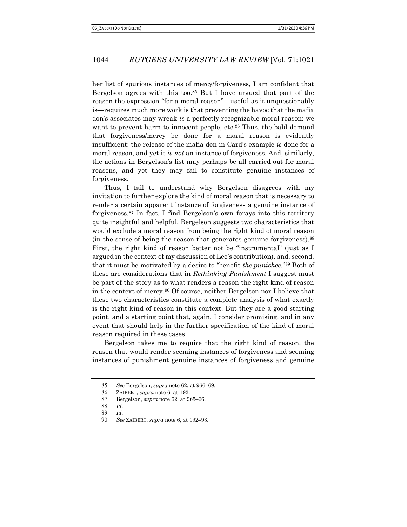her list of spurious instances of mercy/forgiveness, I am confident that Bergelson agrees with this too.<sup>85</sup> But I have argued that part of the reason the expression "for a moral reason"—useful as it unquestionably is—requires much more work is that preventing the havoc that the mafia don's associates may wreak is a perfectly recognizable moral reason: we want to prevent harm to innocent people, etc.<sup>86</sup> Thus, the bald demand that forgiveness/mercy be done for a moral reason is evidently insufficient: the release of the mafia don in Card's example is done for a moral reason, and yet it is not an instance of forgiveness. And, similarly, the actions in Bergelson's list may perhaps be all carried out for moral reasons, and yet they may fail to constitute genuine instances of forgiveness.

Thus, I fail to understand why Bergelson disagrees with my invitation to further explore the kind of moral reason that is necessary to render a certain apparent instance of forgiveness a genuine instance of forgiveness.87 In fact, I find Bergelson's own forays into this territory quite insightful and helpful. Bergelson suggests two characteristics that would exclude a moral reason from being the right kind of moral reason (in the sense of being the reason that generates genuine forgiveness).<sup>88</sup> First, the right kind of reason better not be "instrumental" (just as I argued in the context of my discussion of Lee's contribution), and, second, that it must be motivated by a desire to "benefit the punishee."89 Both of these are considerations that in Rethinking Punishment I suggest must be part of the story as to what renders a reason the right kind of reason in the context of mercy.90 Of course, neither Bergelson nor I believe that these two characteristics constitute a complete analysis of what exactly is the right kind of reason in this context. But they are a good starting point, and a starting point that, again, I consider promising, and in any event that should help in the further specification of the kind of moral reason required in these cases.

Bergelson takes me to require that the right kind of reason, the reason that would render seeming instances of forgiveness and seeming instances of punishment genuine instances of forgiveness and genuine

<sup>85</sup>. See Bergelson, supra note 62, at 966–69.

<sup>86</sup>. ZAIBERT, supra note 6, at 192.

<sup>87</sup>. Bergelson, supra note 62, at 965–66.

<sup>88</sup>. Id.

<sup>89</sup>. Id.

<sup>90</sup>. See ZAIBERT, supra note 6, at 192–93.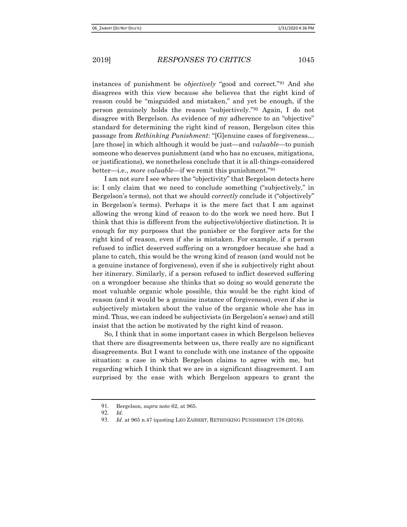instances of punishment be objectively "good and correct."91 And she disagrees with this view because she believes that the right kind of reason could be "misguided and mistaken," and yet be enough, if the person genuinely holds the reason "subjectively."92 Again, I do not disagree with Bergelson. As evidence of my adherence to an "objective" standard for determining the right kind of reason, Bergelson cites this passage from Rethinking Punishment: "[G]enuine cases of forgiveness… [are those] in which although it would be just—and valuable—to punish someone who deserves punishment (and who has no excuses, mitigations, or justifications), we nonetheless conclude that it is all-things-considered better—i.e., *more valuable*—if we remit this punishment.<sup>"93</sup>

I am not sure I see where the "objectivity" that Bergelson detects here is: I only claim that we need to conclude something ("subjectively," in Bergelson's terms), not that we should *correctly* conclude it ("objectively" in Bergelson's terms). Perhaps it is the mere fact that I am against allowing the wrong kind of reason to do the work we need here. But I think that this is different from the subjective/objective distinction. It is enough for my purposes that the punisher or the forgiver acts for the right kind of reason, even if she is mistaken. For example, if a person refused to inflict deserved suffering on a wrongdoer because she had a plane to catch, this would be the wrong kind of reason (and would not be a genuine instance of forgiveness), even if she is subjectively right about her itinerary. Similarly, if a person refused to inflict deserved suffering on a wrongdoer because she thinks that so doing so would generate the most valuable organic whole possible, this would be the right kind of reason (and it would be a genuine instance of forgiveness), even if she is subjectively mistaken about the value of the organic whole she has in mind. Thus, we can indeed be subjectivists (in Bergelson's sense) and still insist that the action be motivated by the right kind of reason.

 So, I think that in some important cases in which Bergelson believes that there are disagreements between us, there really are no significant disagreements. But I want to conclude with one instance of the opposite situation: a case in which Bergelson claims to agree with me, but regarding which I think that we are in a significant disagreement. I am surprised by the ease with which Bergelson appears to grant the

<sup>91</sup>. Bergelson, supra note 62, at 965.

<sup>92</sup>. Id.

<sup>93.</sup> Id. at 965 n.47 (quoting LEO ZAIBERT, RETHINKING PUNISHMENT 178 (2018)).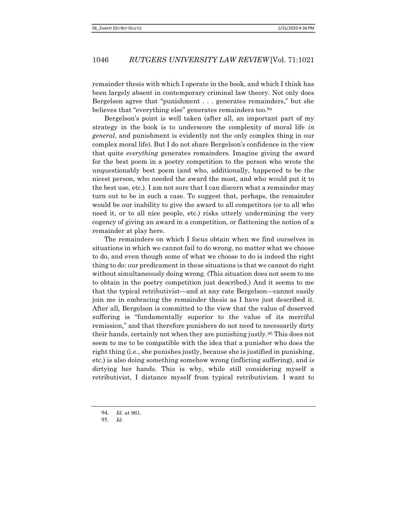remainder thesis with which I operate in the book, and which I think has been largely absent in contemporary criminal law theory. Not only does Bergelson agree that "punishment . . . generates remainders," but she believes that "everything else" generates remainders too.<sup>94</sup>

Bergelson's point is well taken (after all, an important part of my strategy in the book is to underscore the complexity of moral life in general, and punishment is evidently not the only complex thing in our complex moral life). But I do not share Bergelson's confidence in the view that quite everything generates remainders. Imagine giving the award for the best poem in a poetry competition to the person who wrote the unquestionably best poem (and who, additionally, happened to be the nicest person, who needed the award the most, and who would put it to the best use, etc.). I am not sure that I can discern what a remainder may turn out to be in such a case. To suggest that, perhaps, the remainder would be our inability to give the award to all competitors (or to all who need it, or to all nice people, etc.) risks utterly undermining the very cogency of giving an award in a competition, or flattening the notion of a remainder at play here.

The remainders on which I focus obtain when we find ourselves in situations in which we cannot fail to do wrong, no matter what we choose to do, and even though some of what we choose to do is indeed the right thing to do: our predicament in these situations is that we cannot do right without simultaneously doing wrong. (This situation does not seem to me to obtain in the poetry competition just described.) And it seems to me that the typical retributivist—and at any rate Bergelson—cannot easily join me in embracing the remainder thesis as I have just described it. After all, Bergelson is committed to the view that the value of deserved suffering is "fundamentally superior to the value of its merciful remission," and that therefore punishers do not need to necessarily dirty their hands, certainly not when they are punishing justly.95 This does not seem to me to be compatible with the idea that a punisher who does the right thing (i.e., she punishes justly, because she is justified in punishing, etc.) is also doing something somehow wrong (inflicting suffering), and is dirtying her hands. This is why, while still considering myself a retributivist, I distance myself from typical retributivism. I want to

<sup>94</sup>. Id. at 961.

<sup>95</sup>. Id.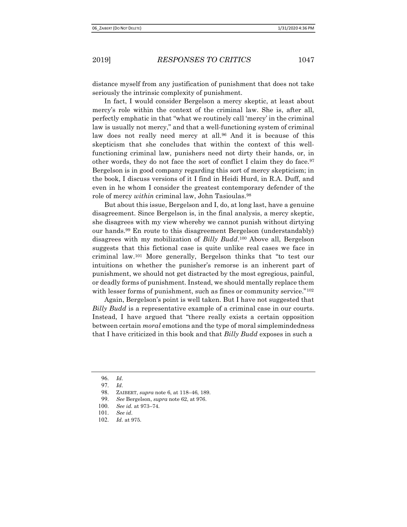distance myself from any justification of punishment that does not take seriously the intrinsic complexity of punishment.

In fact, I would consider Bergelson a mercy skeptic, at least about mercy's role within the context of the criminal law. She is, after all, perfectly emphatic in that "what we routinely call 'mercy' in the criminal law is usually not mercy," and that a well-functioning system of criminal law does not really need mercy at all.<sup>96</sup> And it is because of this skepticism that she concludes that within the context of this wellfunctioning criminal law, punishers need not dirty their hands, or, in other words, they do not face the sort of conflict I claim they do face.<sup>97</sup> Bergelson is in good company regarding this sort of mercy skepticism; in the book, I discuss versions of it I find in Heidi Hurd, in R.A. Duff, and even in he whom I consider the greatest contemporary defender of the role of mercy *within* criminal law, John Tasioulas.<sup>98</sup>

But about this issue, Bergelson and I, do, at long last, have a genuine disagreement. Since Bergelson is, in the final analysis, a mercy skeptic, she disagrees with my view whereby we cannot punish without dirtying our hands.99 En route to this disagreement Bergelson (understandably) disagrees with my mobilization of *Billy Budd*.<sup>100</sup> Above all, Bergelson suggests that this fictional case is quite unlike real cases we face in criminal law.101 More generally, Bergelson thinks that "to test our intuitions on whether the punisher's remorse is an inherent part of punishment, we should not get distracted by the most egregious, painful, or deadly forms of punishment. Instead, we should mentally replace them with lesser forms of punishment, such as fines or community service."<sup>102</sup>

Again, Bergelson's point is well taken. But I have not suggested that Billy Budd is a representative example of a criminal case in our courts. Instead, I have argued that "there really exists a certain opposition between certain *moral* emotions and the type of moral simplemindedness that I have criticized in this book and that Billy Budd exposes in such a

<sup>96</sup>. Id.

<sup>97</sup>. Id.

<sup>98</sup>. ZAIBERT, supra note 6, at 118–46, 189.

<sup>99</sup>. See Bergelson, supra note 62, at 976.

<sup>100</sup>. See id. at 973–74.

<sup>101</sup>. See id.

<sup>102</sup>. Id. at 975.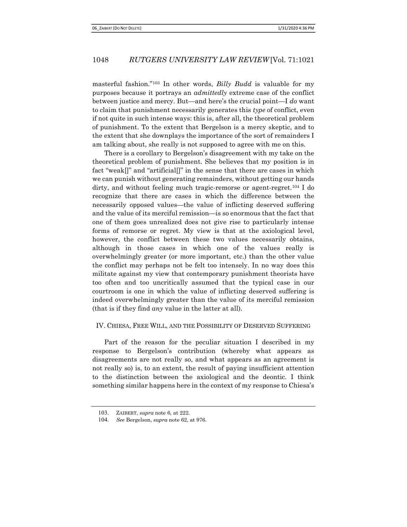masterful fashion."103 In other words, Billy Budd is valuable for my purposes because it portrays an admittedly extreme case of the conflict between justice and mercy. But—and here's the crucial point—I do want to claim that punishment necessarily generates this type of conflict, even if not quite in such intense ways: this is, after all, the theoretical problem of punishment. To the extent that Bergelson is a mercy skeptic, and to the extent that she downplays the importance of the sort of remainders I am talking about, she really is not supposed to agree with me on this.

There is a corollary to Bergelson's disagreement with my take on the theoretical problem of punishment. She believes that my position is in fact "weak[]" and "artificial[]" in the sense that there are cases in which we can punish without generating remainders, without getting our hands dirty, and without feeling much tragic-remorse or agent-regret.104 I do recognize that there are cases in which the difference between the necessarily opposed values—the value of inflicting deserved suffering and the value of its merciful remission—is so enormous that the fact that one of them goes unrealized does not give rise to particularly intense forms of remorse or regret. My view is that at the axiological level, however, the conflict between these two values necessarily obtains, although in those cases in which one of the values really is overwhelmingly greater (or more important, etc.) than the other value the conflict may perhaps not be felt too intensely. In no way does this militate against my view that contemporary punishment theorists have too often and too uncritically assumed that the typical case in our courtroom is one in which the value of inflicting deserved suffering is indeed overwhelmingly greater than the value of its merciful remission (that is if they find any value in the latter at all).

### IV. CHIESA, FREE WILL, AND THE POSSIBILITY OF DESERVED SUFFERING

Part of the reason for the peculiar situation I described in my response to Bergelson's contribution (whereby what appears as disagreements are not really so, and what appears as an agreement is not really so) is, to an extent, the result of paying insufficient attention to the distinction between the axiological and the deontic. I think something similar happens here in the context of my response to Chiesa's

<sup>103</sup>. ZAIBERT, supra note 6, at 222.

<sup>104</sup>. See Bergelson, supra note 62, at 976.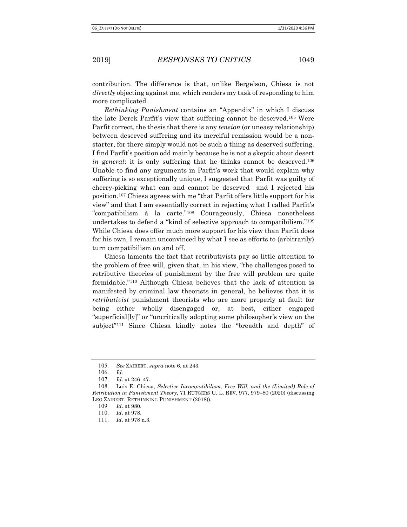contribution. The difference is that, unlike Bergelson, Chiesa is not directly objecting against me, which renders my task of responding to him more complicated.

 Rethinking Punishment contains an "Appendix" in which I discuss the late Derek Parfit's view that suffering cannot be deserved.105 Were Parfit correct, the thesis that there is any tension (or uneasy relationship) between deserved suffering and its merciful remission would be a nonstarter, for there simply would not be such a thing as deserved suffering. I find Parfit's position odd mainly because he is not a skeptic about desert in general: it is only suffering that he thinks cannot be deserved.<sup>106</sup> Unable to find any arguments in Parfit's work that would explain why suffering is so exceptionally unique, I suggested that Parfit was guilty of cherry-picking what can and cannot be deserved—and I rejected his position.107 Chiesa agrees with me "that Parfit offers little support for his view" and that I am essentially correct in rejecting what I called Parfit's "compatibilism à la carte."108 Courageously, Chiesa nonetheless undertakes to defend a "kind of selective approach to compatibilism."<sup>109</sup> While Chiesa does offer much more support for his view than Parfit does for his own, I remain unconvinced by what I see as efforts to (arbitrarily) turn compatibilism on and off.

Chiesa laments the fact that retributivists pay so little attention to the problem of free will, given that, in his view, "the challenges posed to retributive theories of punishment by the free will problem are quite formidable."110 Although Chiesa believes that the lack of attention is manifested by criminal law theorists in general, he believes that it is retributivist punishment theorists who are more properly at fault for being either wholly disengaged or, at best, either engaged "superficial[ly]" or "uncritically adopting some philosopher's view on the subject"<sup>111</sup> Since Chiesa kindly notes the "breadth and depth" of

<sup>105</sup>. See ZAIBERT, supra note 6, at 243.

<sup>106</sup>. Id.

<sup>107</sup>. Id. at 246–47.

<sup>108</sup>. Luis E. Chiesa, Selective Incompatibilism, Free Will, and the (Limited) Role of Retribution in Punishment Theory, 71 RUTGERS U. L. REV. 977, 979–80 (2020) (discussing LEO ZAIBERT, RETHINKING PUNISHMENT (2018)).

<sup>109</sup> Id. at 980.

<sup>110</sup>. Id. at 978.

<sup>111</sup>. Id. at 978 n.3.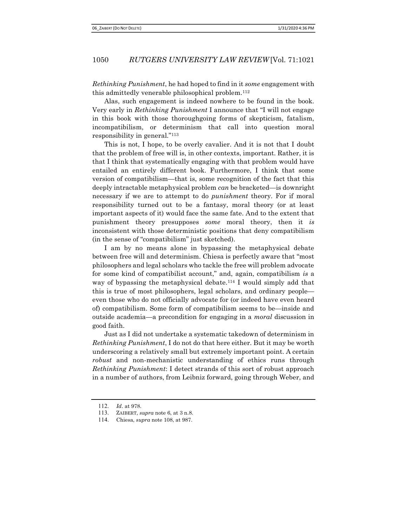Rethinking Punishment, he had hoped to find in it some engagement with this admittedly venerable philosophical problem.<sup>112</sup>

 Alas, such engagement is indeed nowhere to be found in the book. Very early in Rethinking Punishment I announce that "I will not engage in this book with those thoroughgoing forms of skepticism, fatalism, incompatibilism, or determinism that call into question moral responsibility in general."<sup>113</sup>

This is not, I hope, to be overly cavalier. And it is not that I doubt that the problem of free will is, in other contexts, important. Rather, it is that I think that systematically engaging with that problem would have entailed an entirely different book. Furthermore, I think that some version of compatibilism—that is, some recognition of the fact that this deeply intractable metaphysical problem can be bracketed—is downright necessary if we are to attempt to do *punishment* theory. For if moral responsibility turned out to be a fantasy, moral theory (or at least important aspects of it) would face the same fate. And to the extent that punishment theory presupposes some moral theory, then it is inconsistent with those deterministic positions that deny compatibilism (in the sense of "compatibilism" just sketched).

 I am by no means alone in bypassing the metaphysical debate between free will and determinism. Chiesa is perfectly aware that "most philosophers and legal scholars who tackle the free will problem advocate for some kind of compatibilist account," and, again, compatibilism is a way of bypassing the metaphysical debate.114 I would simply add that this is true of most philosophers, legal scholars, and ordinary people even those who do not officially advocate for (or indeed have even heard of) compatibilism. Some form of compatibilism seems to be—inside and outside academia—a precondition for engaging in a moral discussion in good faith.

Just as I did not undertake a systematic takedown of determinism in Rethinking Punishment, I do not do that here either. But it may be worth underscoring a relatively small but extremely important point. A certain robust and non-mechanistic understanding of ethics runs through Rethinking Punishment: I detect strands of this sort of robust approach in a number of authors, from Leibniz forward, going through Weber, and

<sup>112</sup>. Id. at 978.

<sup>113</sup>. ZAIBERT, supra note 6, at 3 n.8.

<sup>114</sup>. Chiesa, supra note 108, at 987.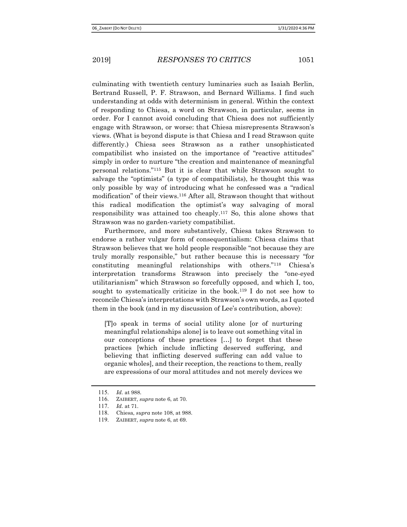culminating with twentieth century luminaries such as Isaiah Berlin, Bertrand Russell, P. F. Strawson, and Bernard Williams. I find such understanding at odds with determinism in general. Within the context of responding to Chiesa, a word on Strawson, in particular, seems in order. For I cannot avoid concluding that Chiesa does not sufficiently engage with Strawson, or worse: that Chiesa misrepresents Strawson's views. (What is beyond dispute is that Chiesa and I read Strawson quite differently.) Chiesa sees Strawson as a rather unsophisticated compatibilist who insisted on the importance of "reactive attitudes" simply in order to nurture "the creation and maintenance of meaningful personal relations."115 But it is clear that while Strawson sought to salvage the "optimists" (a type of compatibilists), he thought this was only possible by way of introducing what he confessed was a "radical modification" of their views.116 After all, Strawson thought that without this radical modification the optimist's way salvaging of moral responsibility was attained too cheaply.117 So, this alone shows that Strawson was no garden-variety compatibilist.

Furthermore, and more substantively, Chiesa takes Strawson to endorse a rather vulgar form of consequentialism: Chiesa claims that Strawson believes that we hold people responsible "not because they are truly morally responsible," but rather because this is necessary "for constituting meaningful relationships with others."118 Chiesa's interpretation transforms Strawson into precisely the "one-eyed utilitarianism" which Strawson so forcefully opposed, and which I, too, sought to systematically criticize in the book.<sup>119</sup> I do not see how to reconcile Chiesa's interpretations with Strawson's own words, as I quoted them in the book (and in my discussion of Lee's contribution, above):

[T]o speak in terms of social utility alone [or of nurturing meaningful relationships alone] is to leave out something vital in our conceptions of these practices […] to forget that these practices [which include inflicting deserved suffering, and believing that inflicting deserved suffering can add value to organic wholes], and their reception, the reactions to them, really are expressions of our moral attitudes and not merely devices we

<sup>115</sup>. Id. at 988.

<sup>116</sup>. ZAIBERT, supra note 6, at 70.

<sup>117</sup>. Id. at 71.

<sup>118</sup>. Chiesa, supra note 108, at 988.

<sup>119</sup>. ZAIBERT, supra note 6, at 69.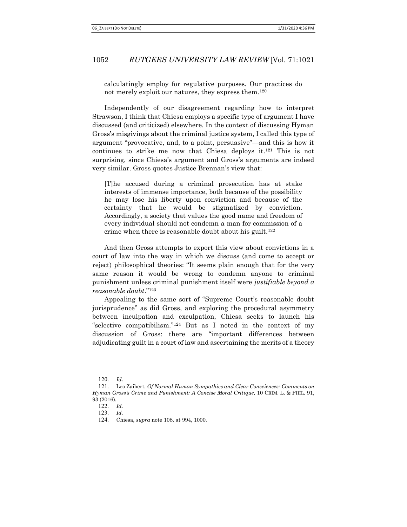calculatingly employ for regulative purposes. Our practices do not merely exploit our natures, they express them.<sup>120</sup>

Independently of our disagreement regarding how to interpret Strawson, I think that Chiesa employs a specific type of argument I have discussed (and criticized) elsewhere. In the context of discussing Hyman Gross's misgivings about the criminal justice system, I called this type of argument "provocative, and, to a point, persuasive"—and this is how it continues to strike me now that Chiesa deploys it.121 This is not surprising, since Chiesa's argument and Gross's arguments are indeed very similar. Gross quotes Justice Brennan's view that:

[T]he accused during a criminal prosecution has at stake interests of immense importance, both because of the possibility he may lose his liberty upon conviction and because of the certainty that he would be stigmatized by conviction. Accordingly, a society that values the good name and freedom of every individual should not condemn a man for commission of a crime when there is reasonable doubt about his guilt.<sup>122</sup>

And then Gross attempts to export this view about convictions in a court of law into the way in which we discuss (and come to accept or reject) philosophical theories: ''It seems plain enough that for the very same reason it would be wrong to condemn anyone to criminal punishment unless criminal punishment itself were justifiable beyond a reasonable doubt.''<sup>123</sup>

 Appealing to the same sort of "Supreme Court's reasonable doubt jurisprudence" as did Gross, and exploring the procedural asymmetry between inculpation and exculpation, Chiesa seeks to launch his "selective compatibilism."124 But as I noted in the context of my discussion of Gross: there are "important differences between adjudicating guilt in a court of law and ascertaining the merits of a theory

 $120 \, \text{Id}$ 

<sup>121</sup>. Leo Zaibert, Of Normal Human Sympathies and Clear Consciences: Comments on Hyman Gross's Crime and Punishment: A Concise Moral Critique, 10 CRIM. L. & PHIL. 91, 93 (2016).

<sup>122</sup>. Id.

<sup>123</sup>. Id.

<sup>124</sup>. Chiesa, supra note 108, at 994, 1000.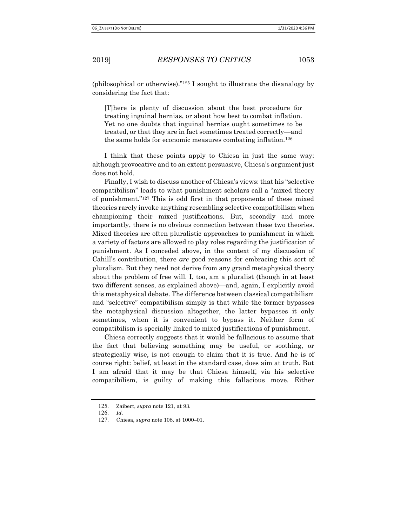(philosophical or otherwise)."125 I sought to illustrate the disanalogy by considering the fact that:

[T]here is plenty of discussion about the best procedure for treating inguinal hernias, or about how best to combat inflation. Yet no one doubts that inguinal hernias ought sometimes to be treated, or that they are in fact sometimes treated correctly—and the same holds for economic measures combating inflation.<sup>126</sup>

I think that these points apply to Chiesa in just the same way: although provocative and to an extent persuasive, Chiesa's argument just does not hold.

Finally, I wish to discuss another of Chiesa's views: that his "selective compatibilism" leads to what punishment scholars call a "mixed theory of punishment."127 This is odd first in that proponents of these mixed theories rarely invoke anything resembling selective compatibilism when championing their mixed justifications. But, secondly and more importantly, there is no obvious connection between these two theories. Mixed theories are often pluralistic approaches to punishment in which a variety of factors are allowed to play roles regarding the justification of punishment. As I conceded above, in the context of my discussion of Cahill's contribution, there are good reasons for embracing this sort of pluralism. But they need not derive from any grand metaphysical theory about the problem of free will. I, too, am a pluralist (though in at least two different senses, as explained above)—and, again, I explicitly avoid this metaphysical debate. The difference between classical compatibilism and "selective" compatibilism simply is that while the former bypasses the metaphysical discussion altogether, the latter bypasses it only sometimes, when it is convenient to bypass it. Neither form of compatibilism is specially linked to mixed justifications of punishment.

 Chiesa correctly suggests that it would be fallacious to assume that the fact that believing something may be useful, or soothing, or strategically wise, is not enough to claim that it is true. And he is of course right: belief, at least in the standard case, does aim at truth. But I am afraid that it may be that Chiesa himself, via his selective compatibilism, is guilty of making this fallacious move. Either

<sup>125</sup>. Zaibert, supra note 121, at 93.

<sup>126</sup>. Id.

<sup>127</sup>. Chiesa, supra note 108, at 1000–01.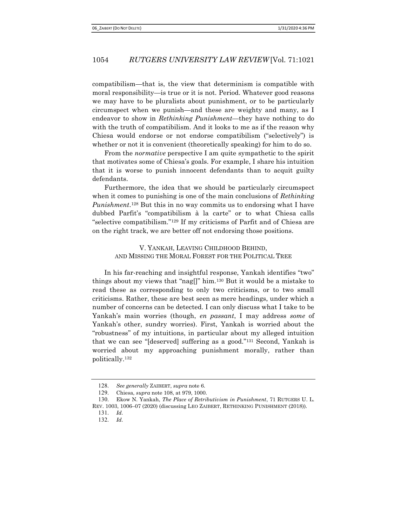compatibilism—that is, the view that determinism is compatible with moral responsibility—is true or it is not. Period. Whatever good reasons we may have to be pluralists about punishment, or to be particularly circumspect when we punish—and these are weighty and many, as I endeavor to show in Rethinking Punishment—they have nothing to do with the truth of compatibilism. And it looks to me as if the reason why Chiesa would endorse or not endorse compatibilism ("selectively") is whether or not it is convenient (theoretically speaking) for him to do so.

From the *normative* perspective I am quite sympathetic to the spirit that motivates some of Chiesa's goals. For example, I share his intuition that it is worse to punish innocent defendants than to acquit guilty defendants.

Furthermore, the idea that we should be particularly circumspect when it comes to punishing is one of the main conclusions of Rethinking Punishment.<sup>128</sup> But this in no way commits us to endorsing what I have dubbed Parfit's "compatibilism à la carte" or to what Chiesa calls "selective compatibilism."129 If my criticisms of Parfit and of Chiesa are on the right track, we are better off not endorsing those positions.

## V. YANKAH, LEAVING CHILDHOOD BEHIND, AND MISSING THE MORAL FOREST FOR THE POLITICAL TREE

In his far-reaching and insightful response, Yankah identifies "two" things about my views that "nag[]" him.130 But it would be a mistake to read these as corresponding to only two criticisms, or to two small criticisms. Rather, these are best seen as mere headings, under which a number of concerns can be detected. I can only discuss what I take to be Yankah's main worries (though, en passant, I may address some of Yankah's other, sundry worries). First, Yankah is worried about the "robustness" of my intuitions, in particular about my alleged intuition that we can see "[deserved] suffering as a good."131 Second, Yankah is worried about my approaching punishment morally, rather than politically.<sup>132</sup>

<sup>128</sup>. See generally ZAIBERT, supra note 6.

<sup>129</sup>. Chiesa, supra note 108, at 979, 1000.

<sup>130</sup>. Ekow N. Yankah, The Place of Retributivism in Punishment, 71 RUTGERS U. L. REV. 1003, 1006–07 (2020) (discussing LEO ZAIBERT, RETHINKING PUNISHMENT (2018)). 131. Id.

<sup>132</sup>. Id.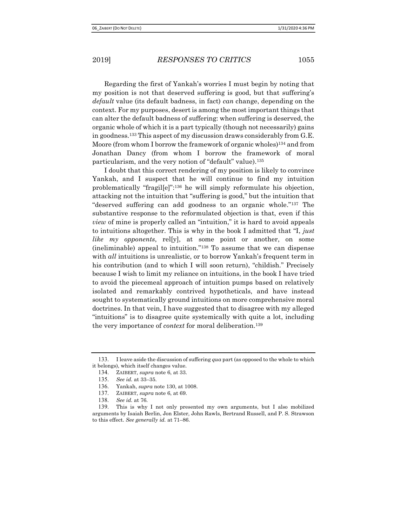Regarding the first of Yankah's worries I must begin by noting that my position is not that deserved suffering is good, but that suffering's default value (its default badness, in fact) can change, depending on the context. For my purposes, desert is among the most important things that can alter the default badness of suffering: when suffering is deserved, the organic whole of which it is a part typically (though not necessarily) gains in goodness.133 This aspect of my discussion draws considerably from G.E. Moore (from whom I borrow the framework of organic wholes)134 and from Jonathan Dancy (from whom I borrow the framework of moral particularism, and the very notion of "default" value).<sup>135</sup>

I doubt that this correct rendering of my position is likely to convince Yankah, and I suspect that he will continue to find my intuition problematically "fragil[e]":136 he will simply reformulate his objection, attacking not the intuition that "suffering is good," but the intuition that "deserved suffering can add goodness to an organic whole."137 The substantive response to the reformulated objection is that, even if this view of mine is properly called an "intuition," it is hard to avoid appeals to intuitions altogether. This is why in the book I admitted that "I, just like my opponents, relly, at some point or another, on some (ineliminable) appeal to intuition."138 To assume that we can dispense with *all* intuitions is unrealistic, or to borrow Yankah's frequent term in his contribution (and to which I will soon return), "childish." Precisely because I wish to limit my reliance on intuitions, in the book I have tried to avoid the piecemeal approach of intuition pumps based on relatively isolated and remarkably contrived hypotheticals, and have instead sought to systematically ground intuitions on more comprehensive moral doctrines. In that vein, I have suggested that to disagree with my alleged "intuitions" is to disagree quite systemically with quite a lot, including the very importance of *context* for moral deliberation.<sup>139</sup>

<sup>133.</sup> I leave aside the discussion of suffering qua part (as opposed to the whole to which it belongs), which itself changes value.

<sup>134</sup>. ZAIBERT, supra note 6, at 33.

<sup>135</sup>. See id. at 33–35.

<sup>136</sup>. Yankah, supra note 130, at 1008.

<sup>137</sup>. ZAIBERT, supra note 6, at 69.

<sup>138</sup>. See id. at 76.

<sup>139</sup>. This is why I not only presented my own arguments, but I also mobilized arguments by Isaiah Berlin, Jon Elster, John Rawls, Bertrand Russell, and P. S. Strawson to this effect. See generally id. at 71–86.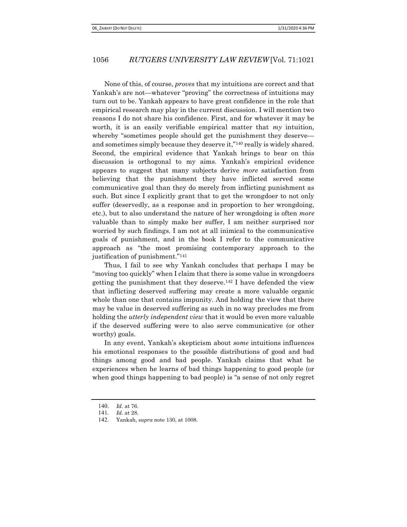None of this, of course, proves that my intuitions are correct and that Yankah's are not—whatever "proving" the correctness of intuitions may turn out to be. Yankah appears to have great confidence in the role that empirical research may play in the current discussion. I will mention two reasons I do not share his confidence. First, and for whatever it may be worth, it is an easily verifiable empirical matter that  $my$  intuition, whereby "sometimes people should get the punishment they deserve and sometimes simply because they deserve it,"140 really is widely shared. Second, the empirical evidence that Yankah brings to bear on this discussion is orthogonal to my aims. Yankah's empirical evidence appears to suggest that many subjects derive more satisfaction from believing that the punishment they have inflicted served some communicative goal than they do merely from inflicting punishment as such. But since I explicitly grant that to get the wrongdoer to not only suffer (deservedly, as a response and in proportion to her wrongdoing, etc.), but to also understand the nature of her wrongdoing is often more valuable than to simply make her suffer, I am neither surprised nor worried by such findings. I am not at all inimical to the communicative goals of punishment, and in the book I refer to the communicative approach as "the most promising contemporary approach to the justification of punishment."<sup>141</sup>

Thus, I fail to see why Yankah concludes that perhaps I may be "moving too quickly" when I claim that there is some value in wrongdoers getting the punishment that they deserve.<sup>142</sup> I have defended the view that inflicting deserved suffering may create a more valuable organic whole than one that contains impunity. And holding the view that there may be value in deserved suffering as such in no way precludes me from holding the utterly independent view that it would be even more valuable if the deserved suffering were to also serve communicative (or other worthy) goals.

In any event, Yankah's skepticism about some intuitions influences his emotional responses to the possible distributions of good and bad things among good and bad people. Yankah claims that what he experiences when he learns of bad things happening to good people (or when good things happening to bad people) is "a sense of not only regret

<sup>140</sup>. Id. at 76.

<sup>141</sup>. Id. at 28.

<sup>142</sup>. Yankah, supra note 130, at 1008.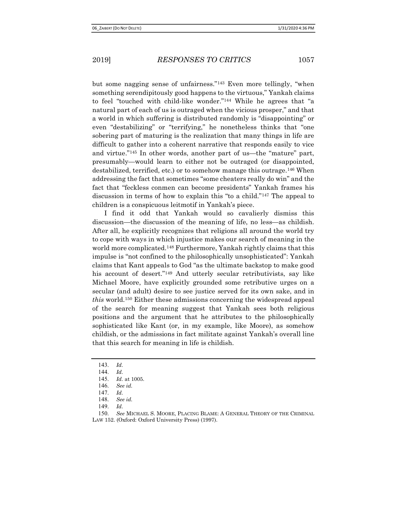but some nagging sense of unfairness."143 Even more tellingly, "when something serendipitously good happens to the virtuous," Yankah claims to feel "touched with child-like wonder."144 While he agrees that "a natural part of each of us is outraged when the vicious prosper," and that a world in which suffering is distributed randomly is "disappointing" or even "destabilizing" or "terrifying," he nonetheless thinks that "one sobering part of maturing is the realization that many things in life are difficult to gather into a coherent narrative that responds easily to vice and virtue."145 In other words, another part of us—the "mature" part, presumably—would learn to either not be outraged (or disappointed, destabilized, terrified, etc.) or to somehow manage this outrage.146 When addressing the fact that sometimes "some cheaters really do win" and the fact that "feckless conmen can become presidents" Yankah frames his discussion in terms of how to explain this "to a child."147 The appeal to children is a conspicuous leitmotif in Yankah's piece.

 I find it odd that Yankah would so cavalierly dismiss this discussion—the discussion of the meaning of life, no less—as childish. After all, he explicitly recognizes that religions all around the world try to cope with ways in which injustice makes our search of meaning in the world more complicated.148 Furthermore, Yankah rightly claims that this impulse is "not confined to the philosophically unsophisticated": Yankah claims that Kant appeals to God "as the ultimate backstop to make good his account of desert."149 And utterly secular retributivists, say like Michael Moore, have explicitly grounded some retributive urges on a secular (and adult) desire to see justice served for its own sake, and in this world.150 Either these admissions concerning the widespread appeal of the search for meaning suggest that Yankah sees both religious positions and the argument that he attributes to the philosophically sophisticated like Kant (or, in my example, like Moore), as somehow childish, or the admissions in fact militate against Yankah's overall line that this search for meaning in life is childish.

<sup>143</sup>. Id.

<sup>144</sup>. Id.

<sup>145</sup>. Id. at 1005.

<sup>146</sup>. See id.

<sup>147</sup>. Id.

<sup>148</sup>. See id.

<sup>149</sup>. Id.

<sup>150</sup>. See MICHAEL S. MOORE, PLACING BLAME: A GENERAL THEORY OF THE CRIMINAL LAW 152. (Oxford: Oxford University Press) (1997).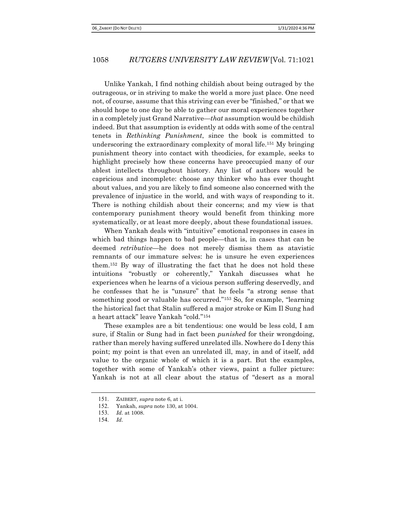Unlike Yankah, I find nothing childish about being outraged by the outrageous, or in striving to make the world a more just place. One need not, of course, assume that this striving can ever be "finished," or that we should hope to one day be able to gather our moral experiences together in a completely just Grand Narrative—that assumption would be childish indeed. But that assumption is evidently at odds with some of the central tenets in Rethinking Punishment, since the book is committed to underscoring the extraordinary complexity of moral life.151 My bringing punishment theory into contact with theodicies, for example, seeks to highlight precisely how these concerns have preoccupied many of our ablest intellects throughout history. Any list of authors would be capricious and incomplete: choose any thinker who has ever thought about values, and you are likely to find someone also concerned with the prevalence of injustice in the world, and with ways of responding to it. There is nothing childish about their concerns; and my view is that contemporary punishment theory would benefit from thinking more systematically, or at least more deeply, about these foundational issues.

When Yankah deals with "intuitive" emotional responses in cases in which bad things happen to bad people—that is, in cases that can be deemed retributive—he does not merely dismiss them as atavistic remnants of our immature selves: he is unsure he even experiences them.152 By way of illustrating the fact that he does not hold these intuitions "robustly or coherently," Yankah discusses what he experiences when he learns of a vicious person suffering deservedly, and he confesses that he is "unsure" that he feels "a strong sense that something good or valuable has occurred."153 So, for example, "learning the historical fact that Stalin suffered a major stroke or Kim Il Sung had a heart attack" leave Yankah "cold."<sup>154</sup>

These examples are a bit tendentious: one would be less cold, I am sure, if Stalin or Sung had in fact been *punished* for their wrongdoing, rather than merely having suffered unrelated ills. Nowhere do I deny this point; my point is that even an unrelated ill, may, in and of itself, add value to the organic whole of which it is a part. But the examples, together with some of Yankah's other views, paint a fuller picture: Yankah is not at all clear about the status of "desert as a moral

<sup>151</sup>. ZAIBERT, supra note 6, at i.

<sup>152</sup>. Yankah, supra note 130, at 1004.

<sup>153</sup>. Id. at 1008.

<sup>154</sup>. Id.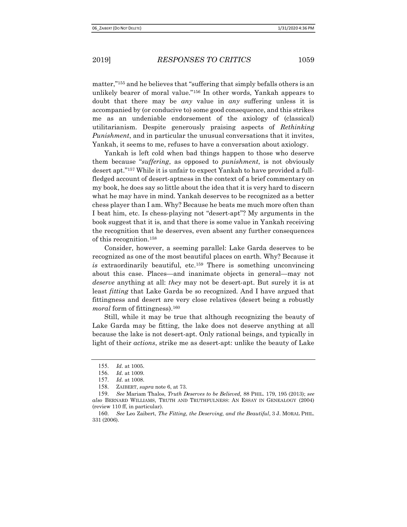matter,"155 and he believes that "suffering that simply befalls others is an unlikely bearer of moral value."156 In other words, Yankah appears to doubt that there may be any value in any suffering unless it is accompanied by (or conducive to) some good consequence, and this strikes me as an undeniable endorsement of the axiology of (classical) utilitarianism. Despite generously praising aspects of Rethinking Punishment, and in particular the unusual conversations that it invites, Yankah, it seems to me, refuses to have a conversation about axiology.

Yankah is left cold when bad things happen to those who deserve them because "suffering, as opposed to punishment, is not obviously desert apt."157 While it is unfair to expect Yankah to have provided a fullfledged account of desert-aptness in the context of a brief commentary on my book, he does say so little about the idea that it is very hard to discern what he may have in mind. Yankah deserves to be recognized as a better chess player than I am. Why? Because he beats me much more often than I beat him, etc. Is chess-playing not "desert-apt"? My arguments in the book suggest that it is, and that there is some value in Yankah receiving the recognition that he deserves, even absent any further consequences of this recognition.<sup>158</sup>

Consider, however, a seeming parallel: Lake Garda deserves to be recognized as one of the most beautiful places on earth. Why? Because it is extraordinarily beautiful, etc.<sup>159</sup> There is something unconvincing about this case. Places—and inanimate objects in general—may not deserve anything at all: they may not be desert-apt. But surely it is at least *fitting* that Lake Garda be so recognized. And I have argued that fittingness and desert are very close relatives (desert being a robustly *moral* form of fittingness).<sup>160</sup>

Still, while it may be true that although recognizing the beauty of Lake Garda may be fitting, the lake does not deserve anything at all because the lake is not desert-apt. Only rational beings, and typically in light of their *actions*, strike me as desert-apt: unlike the beauty of Lake

<sup>155</sup>. Id. at 1005.

<sup>156</sup>. Id. at 1009.

<sup>157</sup>. Id. at 1008.

<sup>158</sup>. ZAIBERT, supra note 6, at 73.

<sup>159</sup>. See Mariam Thalos, Truth Deserves to be Believed, 88 PHIL. 179, 195 (2013); see also BERNARD WILLIAMS, TRUTH AND TRUTHFULNESS: AN ESSAY IN GENEALOGY (2004) (review 110 ff, in particular).

<sup>160</sup>. See Leo Zaibert, The Fitting, the Deserving, and the Beautiful, 3 J. MORAL PHIL. 331 (2006).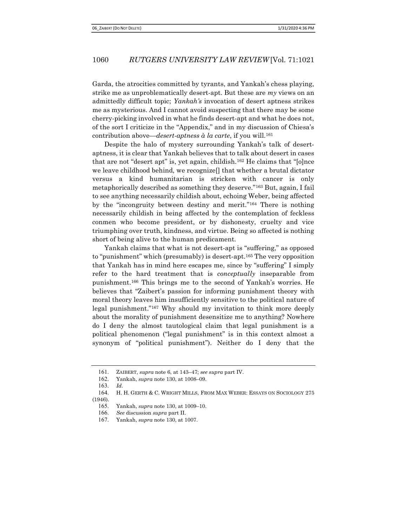Garda, the atrocities committed by tyrants, and Yankah's chess playing, strike me as unproblematically desert-apt. But these are  $my$  views on an admittedly difficult topic; Yankah's invocation of desert aptness strikes me as mysterious. And I cannot avoid suspecting that there may be some cherry-picking involved in what he finds desert-apt and what he does not, of the sort I criticize in the "Appendix," and in my discussion of Chiesa's contribution above—desert-aptness à la carte, if you will.<sup>161</sup>

Despite the halo of mystery surrounding Yankah's talk of desertaptness, it is clear that Yankah believes that to talk about desert in cases that are not "desert apt" is, yet again, childish.162 He claims that "[o]nce we leave childhood behind, we recognize[] that whether a brutal dictator versus a kind humanitarian is stricken with cancer is only metaphorically described as something they deserve."163 But, again, I fail to see anything necessarily childish about, echoing Weber, being affected by the "incongruity between destiny and merit."164 There is nothing necessarily childish in being affected by the contemplation of feckless conmen who become president, or by dishonesty, cruelty and vice triumphing over truth, kindness, and virtue. Being so affected is nothing short of being alive to the human predicament.

Yankah claims that what is not desert-apt is "suffering," as opposed to "punishment" which (presumably) is desert-apt.165 The very opposition that Yankah has in mind here escapes me, since by "suffering" I simply refer to the hard treatment that is *conceptually* inseparable from punishment.166 This brings me to the second of Yankah's worries. He believes that "Zaibert's passion for informing punishment theory with moral theory leaves him insufficiently sensitive to the political nature of legal punishment."167 Why should my invitation to think more deeply about the morality of punishment desensitize me to anything? Nowhere do I deny the almost tautological claim that legal punishment is a political phenomenon ("legal punishment" is in this context almost a synonym of "political punishment"). Neither do I deny that the

<sup>161</sup>. ZAIBERT, supra note 6, at 143–47; see supra part IV.

<sup>162</sup>. Yankah, supra note 130, at 1008–09.

<sup>163</sup>. Id.

<sup>164</sup>. H. H. GERTH & C. WRIGHT MILLS, FROM MAX WEBER: ESSAYS ON SOCIOLOGY 275 (1946).

<sup>165</sup>. Yankah, supra note 130, at 1009–10.

<sup>166</sup>. See discussion supra part II.

<sup>167</sup>. Yankah, supra note 130, at 1007.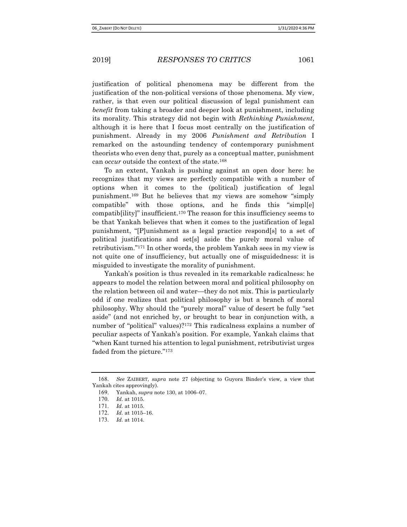justification of political phenomena may be different from the justification of the non-political versions of those phenomena. My view, rather, is that even our political discussion of legal punishment can benefit from taking a broader and deeper look at punishment, including its morality. This strategy did not begin with Rethinking Punishment, although it is here that I focus most centrally on the justification of punishment. Already in my 2006 Punishment and Retribution I remarked on the astounding tendency of contemporary punishment theorists who even deny that, purely as a conceptual matter, punishment can occur outside the context of the state.<sup>168</sup>

To an extent, Yankah is pushing against an open door here: he recognizes that my views are perfectly compatible with a number of options when it comes to the (political) justification of legal punishment.169 But he believes that my views are somehow "simply compatible" with those options, and he finds this "simpl[e] compatib[ility]" insufficient.170 The reason for this insufficiency seems to be that Yankah believes that when it comes to the justification of legal punishment, "[P]unishment as a legal practice respond[s] to a set of political justifications and set[s] aside the purely moral value of retributivism."171 In other words, the problem Yankah sees in my view is not quite one of insufficiency, but actually one of misguidedness: it is misguided to investigate the morality of punishment.

Yankah's position is thus revealed in its remarkable radicalness: he appears to model the relation between moral and political philosophy on the relation between oil and water—they do not mix. This is particularly odd if one realizes that political philosophy is but a branch of moral philosophy. Why should the "purely moral" value of desert be fully "set aside" (and not enriched by, or brought to bear in conjunction with, a number of "political" values)?172 This radicalness explains a number of peculiar aspects of Yankah's position. For example, Yankah claims that "when Kant turned his attention to legal punishment, retributivist urges faded from the picture."<sup>173</sup>

<sup>168</sup>. See ZAIBERT, supra note 27 (objecting to Guyora Binder's view, a view that Yankah cites approvingly).

<sup>169</sup>. Yankah, supra note 130, at 1006–07.

<sup>170</sup>. Id. at 1015.

<sup>171</sup>. Id. at 1015.

<sup>172</sup>. Id. at 1015–16.

<sup>173</sup>. Id. at 1014.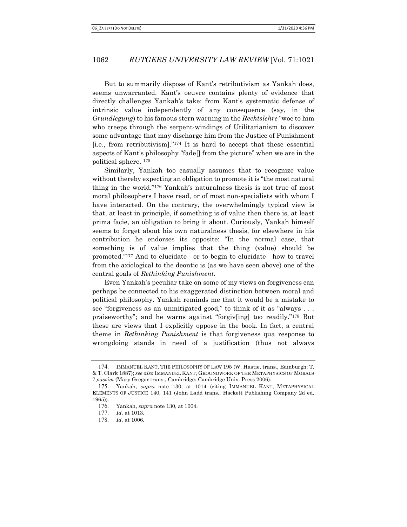But to summarily dispose of Kant's retributivism as Yankah does, seems unwarranted. Kant's oeuvre contains plenty of evidence that directly challenges Yankah's take: from Kant's systematic defense of intrinsic value independently of any consequence (say, in the Grundlegung) to his famous stern warning in the Rechtslehre "woe to him who creeps through the serpent-windings of Utilitarianism to discover some advantage that may discharge him from the Justice of Punishment [i.e., from retributivism]."174 It is hard to accept that these essential aspects of Kant's philosophy "fade[] from the picture" when we are in the political sphere. <sup>175</sup>

Similarly, Yankah too casually assumes that to recognize value without thereby expecting an obligation to promote it is "the most natural thing in the world."176 Yankah's naturalness thesis is not true of most moral philosophers I have read, or of most non-specialists with whom I have interacted. On the contrary, the overwhelmingly typical view is that, at least in principle, if something is of value then there is, at least prima facie, an obligation to bring it about. Curiously, Yankah himself seems to forget about his own naturalness thesis, for elsewhere in his contribution he endorses its opposite: "In the normal case, that something is of value implies that the thing (value) should be promoted."177 And to elucidate—or to begin to elucidate—how to travel from the axiological to the deontic is (as we have seen above) one of the central goals of Rethinking Punishment.

Even Yankah's peculiar take on some of my views on forgiveness can perhaps be connected to his exaggerated distinction between moral and political philosophy. Yankah reminds me that it would be a mistake to see "forgiveness as an unmitigated good," to think of it as "always . . . praiseworthy"; and he warns against "forgiv[ing] too readily."178 But these are views that I explicitly oppose in the book. In fact, a central theme in Rethinking Punishment is that forgiveness qua response to wrongdoing stands in need of a justification (thus not always

<sup>174</sup>. IMMANUEL KANT, THE PHILOSOPHY OF LAW 195 (W. Hastie, trans., Edinburgh: T. & T. Clark 1887); see also IMMANUEL KANT, GROUNDWORK OF THE METAPHYSICS OF MORALS 7 passim (Mary Gregor trans., Cambridge: Cambridge Univ. Press 2006).

<sup>175</sup>. Yankah, supra note 130, at 1014 (citing IMMANUEL KANT, METAPHYSICAL ELEMENTS OF JUSTICE 140, 141 (John Ladd trans., Hackett Publishing Company 2d ed. 1965)).

<sup>176</sup>. Yankah, supra note 130, at 1004.

<sup>177</sup>. Id. at 1013.

<sup>178</sup>. Id. at 1006.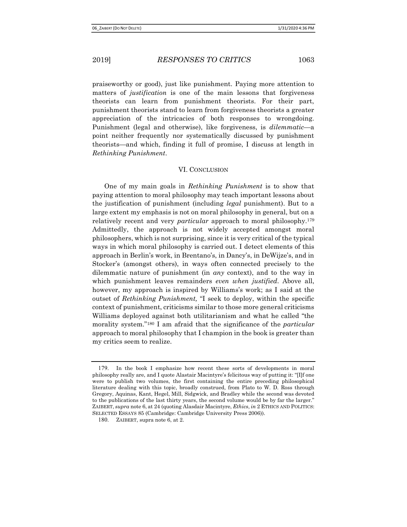praiseworthy or good), just like punishment. Paying more attention to matters of *justification* is one of the main lessons that forgiveness theorists can learn from punishment theorists. For their part, punishment theorists stand to learn from forgiveness theorists a greater appreciation of the intricacies of both responses to wrongdoing. Punishment (legal and otherwise), like forgiveness, is dilemmatic—a point neither frequently nor systematically discussed by punishment theorists—and which, finding it full of promise, I discuss at length in Rethinking Punishment.

### VI. CONCLUSION

One of my main goals in Rethinking Punishment is to show that paying attention to moral philosophy may teach important lessons about the justification of punishment (including *legal* punishment). But to a large extent my emphasis is not on moral philosophy in general, but on a relatively recent and very particular approach to moral philosophy.<sup>179</sup> Admittedly, the approach is not widely accepted amongst moral philosophers, which is not surprising, since it is very critical of the typical ways in which moral philosophy is carried out. I detect elements of this approach in Berlin's work, in Brentano's, in Dancy's, in DeWijze's, and in Stocker's (amongst others), in ways often connected precisely to the dilemmatic nature of punishment (in any context), and to the way in which punishment leaves remainders even when justified. Above all, however, my approach is inspired by Williams's work; as I said at the outset of Rethinking Punishment, "I seek to deploy, within the specific context of punishment, criticisms similar to those more general criticisms Williams deployed against both utilitarianism and what he called "the morality system."<sup>180</sup> I am afraid that the significance of the *particular* approach to moral philosophy that I champion in the book is greater than my critics seem to realize.

<sup>179</sup>. In the book I emphasize how recent these sorts of developments in moral philosophy really are, and I quote Alastair Macintyre's felicitous way of putting it: "[I]f one were to publish two volumes, the first containing the entire preceding philosophical literature dealing with this topic, broadly construed, from Plato to W. D. Ross through Gregory, Aquinas, Kant, Hegel, Mill, Sidgwick, and Bradley while the second was devoted to the publications of the last thirty years, the second volume would be by far the larger." ZAIBERT, supra note 6, at 24 (quoting Alasdair Macintyre, *Ethics*, in 2 ETHICS AND POLITICS: SELECTED ESSAYS 85 (Cambridge: Cambridge University Press 2006)).

<sup>180</sup>. ZAIBERT, supra note 6, at 2.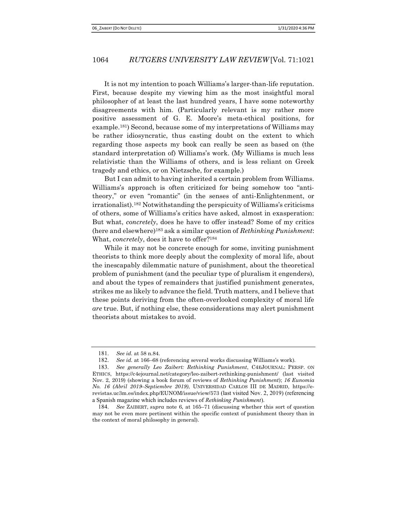It is not my intention to poach Williams's larger-than-life reputation. First, because despite my viewing him as the most insightful moral philosopher of at least the last hundred years, I have some noteworthy disagreements with him. (Particularly relevant is my rather more positive assessment of G. E. Moore's meta-ethical positions, for example.181) Second, because some of my interpretations of Williams may be rather idiosyncratic, thus casting doubt on the extent to which regarding those aspects my book can really be seen as based on (the standard interpretation of) Williams's work. (My Williams is much less relativistic than the Williams of others, and is less reliant on Greek tragedy and ethics, or on Nietzsche, for example.)

But I can admit to having inherited a certain problem from Williams. Williams's approach is often criticized for being somehow too "antitheory," or even "romantic" (in the senses of anti-Enlightenment, or irrationalist).182 Notwithstanding the perspicuity of Williams's criticisms of others, some of Williams's critics have asked, almost in exasperation: But what, concretely, does he have to offer instead? Some of my critics (here and elsewhere)183 ask a similar question of Rethinking Punishment: What, *concretely*, does it have to offer?<sup>184</sup>

While it may not be concrete enough for some, inviting punishment theorists to think more deeply about the complexity of moral life, about the inescapably dilemmatic nature of punishment, about the theoretical problem of punishment (and the peculiar type of pluralism it engenders), and about the types of remainders that justified punishment generates, strikes me as likely to advance the field. Truth matters, and I believe that these points deriving from the often-overlooked complexity of moral life are true. But, if nothing else, these considerations may alert punishment theorists about mistakes to avoid.

<sup>181</sup>. See id. at 58 n.84.

<sup>182</sup>. See id. at 166–68 (referencing several works discussing Williams's work).

<sup>183</sup>. See generally Leo Zaibert: Rethinking Punishment, C4EJOURNAL: PERSP. ON ETHICS, https://c4ejournal.net/category/leo-zaibert-rethinking-punishment/ (last visited Nov. 2, 2019) (showing a book forum of reviews of Rethinking Punishment); 16 Eunomia No. 16 (Abril 2019–Septiembre 2019), UNIVERSIDAD CARLOS III DE MADRID, https://erevistas.uc3m.es/index.php/EUNOM/issue/view/573 (last visited Nov. 2, 2019) (referencing a Spanish magazine which includes reviews of Rethinking Punishment).

<sup>184</sup>. See ZAIBERT, supra note 6, at 165–71 (discussing whether this sort of question may not be even more pertinent within the specific context of punishment theory than in the context of moral philosophy in general).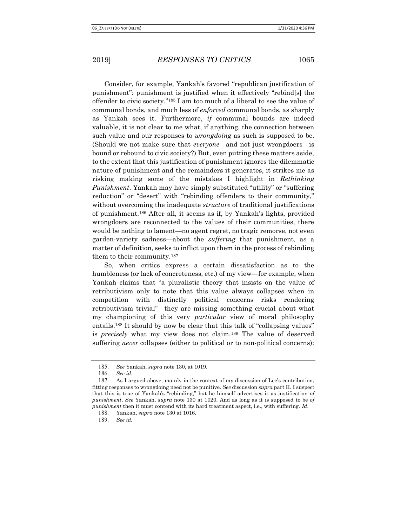Consider, for example, Yankah's favored "republican justification of punishment": punishment is justified when it effectively "rebind[s] the offender to civic society."185 I am too much of a liberal to see the value of communal bonds, and much less of enforced communal bonds, as sharply as Yankah sees it. Furthermore, if communal bounds are indeed valuable, it is not clear to me what, if anything, the connection between such value and our responses to *wrongdoing* as such is supposed to be. (Should we not make sure that everyone—and not just wrongdoers—is bound or rebound to civic society?) But, even putting these matters aside, to the extent that this justification of punishment ignores the dilemmatic nature of punishment and the remainders it generates, it strikes me as risking making some of the mistakes I highlight in Rethinking Punishment. Yankah may have simply substituted "utility" or "suffering reduction" or "desert" with "rebinding offenders to their community," without overcoming the inadequate *structure* of traditional justifications of punishment.186 After all, it seems as if, by Yankah's lights, provided wrongdoers are reconnected to the values of their communities, there would be nothing to lament—no agent regret, no tragic remorse, not even garden-variety sadness—about the *suffering* that punishment, as a matter of definition, seeks to inflict upon them in the process of rebinding them to their community.<sup>187</sup>

So, when critics express a certain dissatisfaction as to the humbleness (or lack of concreteness, etc.) of my view—for example, when Yankah claims that "a pluralistic theory that insists on the value of retributivism only to note that this value always collapses when in competition with distinctly political concerns risks rendering retributivism trivial"—they are missing something crucial about what my championing of this very particular view of moral philosophy entails.188 It should by now be clear that this talk of "collapsing values" is *precisely* what my view does not claim.<sup>189</sup> The value of deserved suffering *never* collapses (either to political or to non-political concerns):

<sup>185</sup>. See Yankah, supra note 130, at 1019.

<sup>186</sup>. See id.

<sup>187</sup>. As I argued above, mainly in the context of my discussion of Lee's contribution, fitting responses to wrongdoing need not be punitive. See discussion *supra* part II. I suspect that this is true of Yankah's "rebinding," but he himself advertises it as justification of punishment. See Yankah, supra note 130 at 1020. And as long as it is supposed to be of punishment then it must contend with its hard treatment aspect, i.e., with suffering. Id.

<sup>188</sup>. Yankah, supra note 130 at 1016.

<sup>189</sup>. See id.